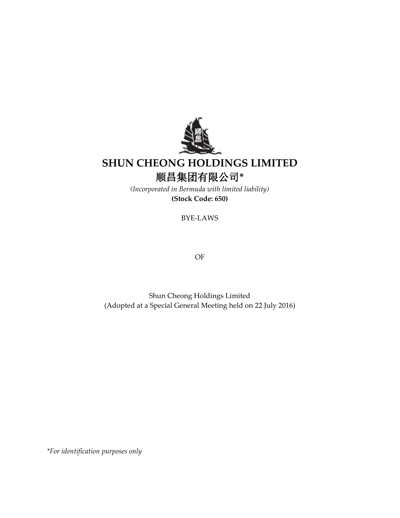

# **SHUN CHEONG HOLDINGS LIMITED** 顺昌集团有限公司**\***

*(Incorporated in Bermuda with limited liability)* **(Stock Code: 650)**

BYE-LAWS

OF

Shun Cheong Holdings Limited (Adopted at a Special General Meeting held on 22 July 2016)

*\*For identification purposes only*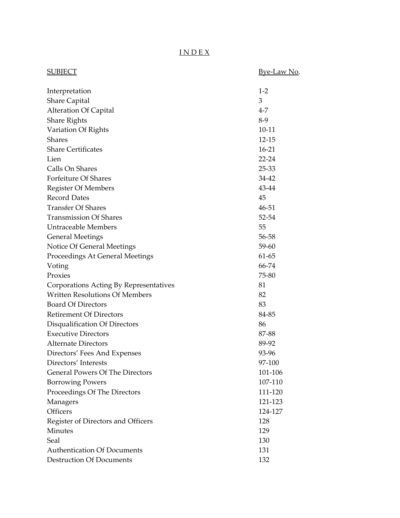# I N D E X

| <u>SUBJECT</u>                         | <u>Bye-Law No.</u> |
|----------------------------------------|--------------------|
| Interpretation                         | $1-2$              |
| <b>Share Capital</b>                   | 3                  |
| <b>Alteration Of Capital</b>           | $4 - 7$            |
| <b>Share Rights</b>                    | $8-9$              |
| Variation Of Rights                    | $10 - 11$          |
| Shares                                 | 12-15              |
| <b>Share Certificates</b>              | $16 - 21$          |
| Lien                                   | $22 - 24$          |
| Calls On Shares                        | 25-33              |
| Forfeiture Of Shares                   | 34-42              |
| <b>Register Of Members</b>             | 43-44              |
| <b>Record Dates</b>                    | 45                 |
| <b>Transfer Of Shares</b>              | 46-51              |
| <b>Transmission Of Shares</b>          | 52-54              |
| Untraceable Members                    | 55                 |
| <b>General Meetings</b>                | 56-58              |
| Notice Of General Meetings             | 59-60              |
| Proceedings At General Meetings        | 61-65              |
| Voting                                 | 66-74              |
| Proxies                                | 75-80              |
| Corporations Acting By Representatives | 81                 |
| <b>Written Resolutions Of Members</b>  | 82                 |
| <b>Board Of Directors</b>              | 83                 |
| <b>Retirement Of Directors</b>         | 84-85              |
| Disqualification Of Directors          | 86                 |
| <b>Executive Directors</b>             | 87-88              |
| Alternate Directors                    | 89-92              |
| Directors' Fees And Expenses           | 93-96              |
| Directors' Interests                   | 97-100             |
| <b>General Powers Of The Directors</b> | 101-106            |
| <b>Borrowing Powers</b>                | 107-110            |
| Proceedings Of The Directors           | 111-120            |
| Managers                               | 121-123            |
| Officers                               | 124-127            |
| Register of Directors and Officers     | 128                |
| <b>Minutes</b>                         | 129                |
| Seal                                   | 130                |
| <b>Authentication Of Documents</b>     | 131                |
| <b>Destruction Of Documents</b>        | 132                |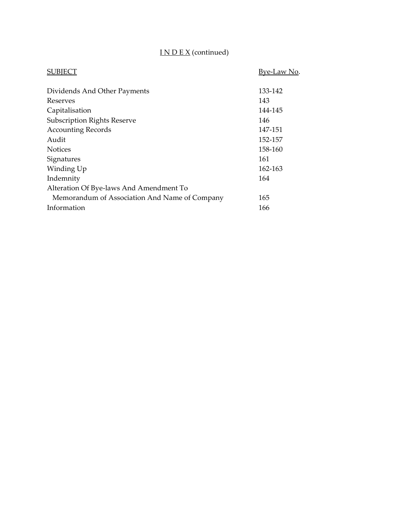# I N D E X (continued)

| SUBIECT                                       | <u>Bye-Law No.</u> |
|-----------------------------------------------|--------------------|
| Dividends And Other Payments                  | 133-142            |
| Reserves                                      | 143                |
| Capitalisation                                | 144-145            |
| <b>Subscription Rights Reserve</b>            | 146                |
| <b>Accounting Records</b>                     | 147-151            |
| Audit                                         | 152-157            |
| <b>Notices</b>                                | 158-160            |
| Signatures                                    | 161                |
| Winding Up                                    | 162-163            |
| Indemnity                                     | 164                |
| Alteration Of Bye-laws And Amendment To       |                    |
| Memorandum of Association And Name of Company | 165                |
| Information                                   | 166                |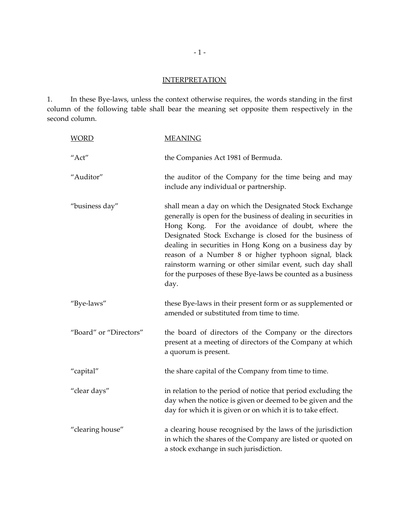# **INTERPRETATION**

1. In these Bye-laws, unless the context otherwise requires, the words standing in the first column of the following table shall bear the meaning set opposite them respectively in the second column.

| <b>WORD</b>            | <b>MEANING</b>                                                                                                                                                                                                                                                                                                                                                                                                                                                                                 |
|------------------------|------------------------------------------------------------------------------------------------------------------------------------------------------------------------------------------------------------------------------------------------------------------------------------------------------------------------------------------------------------------------------------------------------------------------------------------------------------------------------------------------|
| "Act"                  | the Companies Act 1981 of Bermuda.                                                                                                                                                                                                                                                                                                                                                                                                                                                             |
| "Auditor"              | the auditor of the Company for the time being and may<br>include any individual or partnership.                                                                                                                                                                                                                                                                                                                                                                                                |
| "business day"         | shall mean a day on which the Designated Stock Exchange<br>generally is open for the business of dealing in securities in<br>Hong Kong. For the avoidance of doubt, where the<br>Designated Stock Exchange is closed for the business of<br>dealing in securities in Hong Kong on a business day by<br>reason of a Number 8 or higher typhoon signal, black<br>rainstorm warning or other similar event, such day shall<br>for the purposes of these Bye-laws be counted as a business<br>day. |
| "Bye-laws"             | these Bye-laws in their present form or as supplemented or<br>amended or substituted from time to time.                                                                                                                                                                                                                                                                                                                                                                                        |
| "Board" or "Directors" | the board of directors of the Company or the directors<br>present at a meeting of directors of the Company at which<br>a quorum is present.                                                                                                                                                                                                                                                                                                                                                    |
| "capital"              | the share capital of the Company from time to time.                                                                                                                                                                                                                                                                                                                                                                                                                                            |
| "clear days"           | in relation to the period of notice that period excluding the<br>day when the notice is given or deemed to be given and the<br>day for which it is given or on which it is to take effect.                                                                                                                                                                                                                                                                                                     |
| "clearing house"       | a clearing house recognised by the laws of the jurisdiction<br>in which the shares of the Company are listed or quoted on<br>a stock exchange in such jurisdiction.                                                                                                                                                                                                                                                                                                                            |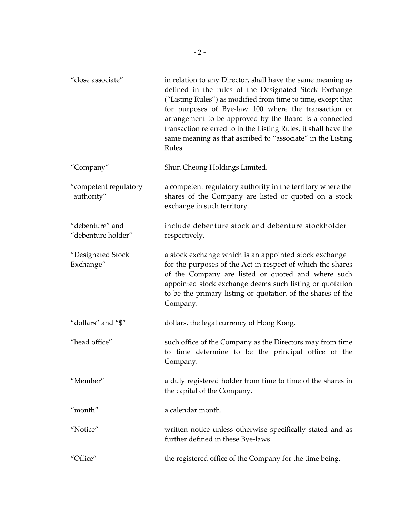| "close associate"                     | in relation to any Director, shall have the same meaning as<br>defined in the rules of the Designated Stock Exchange<br>("Listing Rules") as modified from time to time, except that<br>for purposes of Bye-law 100 where the transaction or<br>arrangement to be approved by the Board is a connected<br>transaction referred to in the Listing Rules, it shall have the<br>same meaning as that ascribed to "associate" in the Listing<br>Rules. |
|---------------------------------------|----------------------------------------------------------------------------------------------------------------------------------------------------------------------------------------------------------------------------------------------------------------------------------------------------------------------------------------------------------------------------------------------------------------------------------------------------|
| "Company"                             | Shun Cheong Holdings Limited.                                                                                                                                                                                                                                                                                                                                                                                                                      |
| "competent regulatory<br>authority"   | a competent regulatory authority in the territory where the<br>shares of the Company are listed or quoted on a stock<br>exchange in such territory.                                                                                                                                                                                                                                                                                                |
| "debenture" and<br>"debenture holder" | include debenture stock and debenture stockholder<br>respectively.                                                                                                                                                                                                                                                                                                                                                                                 |
| "Designated Stock<br>Exchange"        | a stock exchange which is an appointed stock exchange<br>for the purposes of the Act in respect of which the shares<br>of the Company are listed or quoted and where such<br>appointed stock exchange deems such listing or quotation<br>to be the primary listing or quotation of the shares of the<br>Company.                                                                                                                                   |
| "dollars" and "\$"                    | dollars, the legal currency of Hong Kong.                                                                                                                                                                                                                                                                                                                                                                                                          |
| "head office"                         | such office of the Company as the Directors may from time<br>to time determine to be the principal office of the<br>Company.                                                                                                                                                                                                                                                                                                                       |
| "Member"                              | a duly registered holder from time to time of the shares in<br>the capital of the Company.                                                                                                                                                                                                                                                                                                                                                         |
| "month"                               | a calendar month.                                                                                                                                                                                                                                                                                                                                                                                                                                  |
| "Notice"                              | written notice unless otherwise specifically stated and as<br>further defined in these Bye-laws.                                                                                                                                                                                                                                                                                                                                                   |
| "Office"                              | the registered office of the Company for the time being.                                                                                                                                                                                                                                                                                                                                                                                           |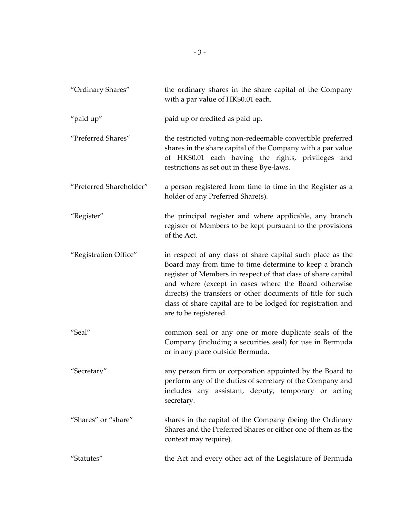| "Ordinary Shares"       | the ordinary shares in the share capital of the Company<br>with a par value of HK\$0.01 each.                                                                                                                                                                                                                                                                                                         |
|-------------------------|-------------------------------------------------------------------------------------------------------------------------------------------------------------------------------------------------------------------------------------------------------------------------------------------------------------------------------------------------------------------------------------------------------|
| "paid up"               | paid up or credited as paid up.                                                                                                                                                                                                                                                                                                                                                                       |
| "Preferred Shares"      | the restricted voting non-redeemable convertible preferred<br>shares in the share capital of the Company with a par value<br>of HK\$0.01 each having the rights, privileges and<br>restrictions as set out in these Bye-laws.                                                                                                                                                                         |
| "Preferred Shareholder" | a person registered from time to time in the Register as a<br>holder of any Preferred Share(s).                                                                                                                                                                                                                                                                                                       |
| "Register"              | the principal register and where applicable, any branch<br>register of Members to be kept pursuant to the provisions<br>of the Act.                                                                                                                                                                                                                                                                   |
| "Registration Office"   | in respect of any class of share capital such place as the<br>Board may from time to time determine to keep a branch<br>register of Members in respect of that class of share capital<br>and where (except in cases where the Board otherwise<br>directs) the transfers or other documents of title for such<br>class of share capital are to be lodged for registration and<br>are to be registered. |
| "Seal"                  | common seal or any one or more duplicate seals of the<br>Company (including a securities seal) for use in Bermuda<br>or in any place outside Bermuda.                                                                                                                                                                                                                                                 |
| "Secretary"             | any person firm or corporation appointed by the Board to<br>perform any of the duties of secretary of the Company and<br>includes any assistant, deputy, temporary or acting<br>secretary.                                                                                                                                                                                                            |
| "Shares" or "share"     | shares in the capital of the Company (being the Ordinary<br>Shares and the Preferred Shares or either one of them as the<br>context may require).                                                                                                                                                                                                                                                     |
| "Statutes"              | the Act and every other act of the Legislature of Bermuda                                                                                                                                                                                                                                                                                                                                             |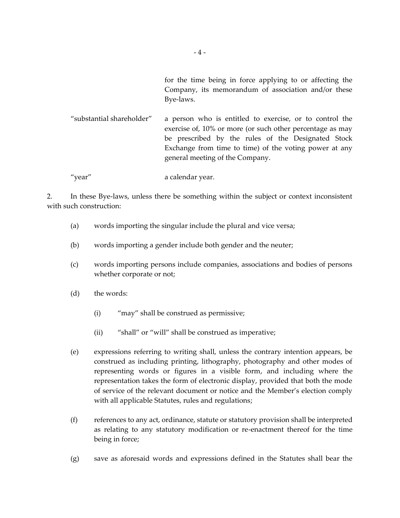for the time being in force applying to or affecting the Company, its memorandum of association and/or these Bye-laws.

"substantial shareholder" a person who is entitled to exercise, or to control the exercise of, 10% or more (or such other percentage as may be prescribed by the rules of the Designated Stock Exchange from time to time) of the voting power at any general meeting of the Company.

"year" a calendar year.

2. In these Bye-laws, unless there be something within the subject or context inconsistent with such construction:

- (a) words importing the singular include the plural and vice versa;
- (b) words importing a gender include both gender and the neuter;
- (c) words importing persons include companies, associations and bodies of persons whether corporate or not;
- (d) the words:
	- (i) "may" shall be construed as permissive;
	- (ii) "shall" or "will" shall be construed as imperative;
- (e) expressions referring to writing shall, unless the contrary intention appears, be construed as including printing, lithography, photography and other modes of representing words or figures in a visible form, and including where the representation takes the form of electronic display, provided that both the mode of service of the relevant document or notice and the Member's election comply with all applicable Statutes, rules and regulations;
- (f) references to any act, ordinance, statute or statutory provision shall be interpreted as relating to any statutory modification or re-enactment thereof for the time being in force;
- (g) save as aforesaid words and expressions defined in the Statutes shall bear the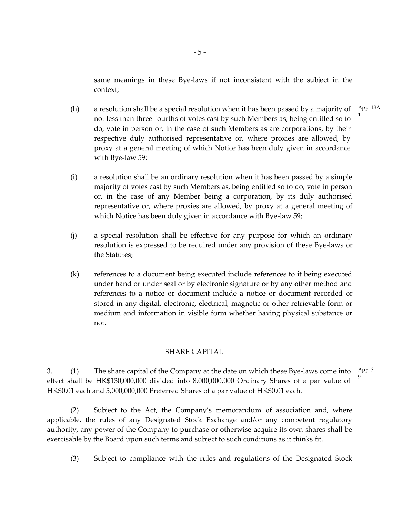same meanings in these Bye-laws if not inconsistent with the subject in the context;

1

- (h) a resolution shall be a special resolution when it has been passed by a majority of not less than three-fourths of votes cast by such Members as, being entitled so to do, vote in person or, in the case of such Members as are corporations, by their respective duly authorised representative or, where proxies are allowed, by proxy at a general meeting of which Notice has been duly given in accordance with Bye-law 59; App. 13A
- (i) a resolution shall be an ordinary resolution when it has been passed by a simple majority of votes cast by such Members as, being entitled so to do, vote in person or, in the case of any Member being a corporation, by its duly authorised representative or, where proxies are allowed, by proxy at a general meeting of which Notice has been duly given in accordance with Bye-law 59;
- (j) a special resolution shall be effective for any purpose for which an ordinary resolution is expressed to be required under any provision of these Bye-laws or the Statutes;
- (k) references to a document being executed include references to it being executed under hand or under seal or by electronic signature or by any other method and references to a notice or document include a notice or document recorded or stored in any digital, electronic, electrical, magnetic or other retrievable form or medium and information in visible form whether having physical substance or not.

# SHARE CAPITAL

3. (1) The share capital of the Company at the date on which these Bye-laws come into effect shall be HK\$130,000,000 divided into 8,000,000,000 Ordinary Shares of a par value of HK\$0.01 each and 5,000,000,000 Preferred Shares of a par value of HK\$0.01 each. App. 3 9

(2) Subject to the Act, the Company's memorandum of association and, where applicable, the rules of any Designated Stock Exchange and/or any competent regulatory authority, any power of the Company to purchase or otherwise acquire its own shares shall be exercisable by the Board upon such terms and subject to such conditions as it thinks fit.

(3) Subject to compliance with the rules and regulations of the Designated Stock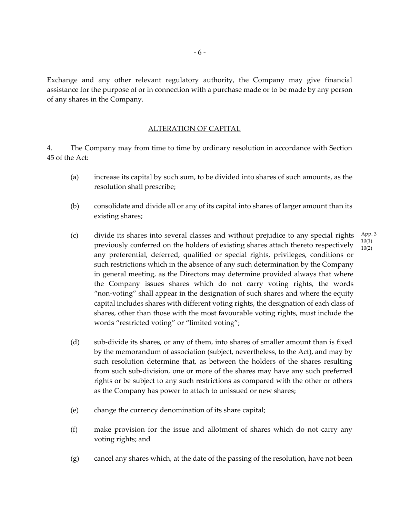Exchange and any other relevant regulatory authority, the Company may give financial assistance for the purpose of or in connection with a purchase made or to be made by any person of any shares in the Company.

#### ALTERATION OF CAPITAL

4. The Company may from time to time by ordinary resolution in accordance with Section 45 of the Act:

- (a) increase its capital by such sum, to be divided into shares of such amounts, as the resolution shall prescribe;
- (b) consolidate and divide all or any of its capital into shares of larger amount than its existing shares;
- (c) divide its shares into several classes and without prejudice to any special rights previously conferred on the holders of existing shares attach thereto respectively any preferential, deferred, qualified or special rights, privileges, conditions or such restrictions which in the absence of any such determination by the Company in general meeting, as the Directors may determine provided always that where the Company issues shares which do not carry voting rights, the words "non-voting" shall appear in the designation of such shares and where the equity capital includes shares with different voting rights, the designation of each class of shares, other than those with the most favourable voting rights, must include the words "restricted voting" or "limited voting"; App. 3 10(1) 10(2)
- (d) sub-divide its shares, or any of them, into shares of smaller amount than is fixed by the memorandum of association (subject, nevertheless, to the Act), and may by such resolution determine that, as between the holders of the shares resulting from such sub-division, one or more of the shares may have any such preferred rights or be subject to any such restrictions as compared with the other or others as the Company has power to attach to unissued or new shares;
- (e) change the currency denomination of its share capital;
- (f) make provision for the issue and allotment of shares which do not carry any voting rights; and
- (g) cancel any shares which, at the date of the passing of the resolution, have not been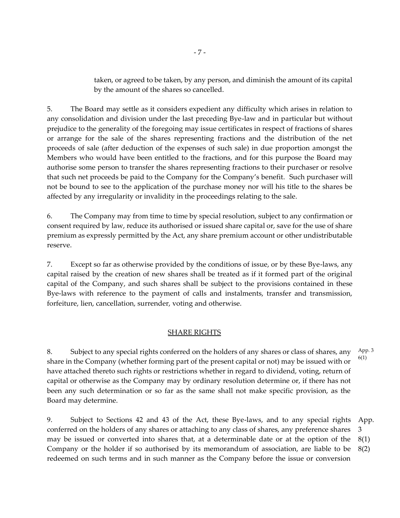taken, or agreed to be taken, by any person, and diminish the amount of its capital by the amount of the shares so cancelled.

5. The Board may settle as it considers expedient any difficulty which arises in relation to any consolidation and division under the last preceding Bye-law and in particular but without prejudice to the generality of the foregoing may issue certificates in respect of fractions of shares or arrange for the sale of the shares representing fractions and the distribution of the net proceeds of sale (after deduction of the expenses of such sale) in due proportion amongst the Members who would have been entitled to the fractions, and for this purpose the Board may authorise some person to transfer the shares representing fractions to their purchaser or resolve that such net proceeds be paid to the Company for the Company's benefit. Such purchaser will not be bound to see to the application of the purchase money nor will his title to the shares be affected by any irregularity or invalidity in the proceedings relating to the sale.

6. The Company may from time to time by special resolution, subject to any confirmation or consent required by law, reduce its authorised or issued share capital or, save for the use of share premium as expressly permitted by the Act, any share premium account or other undistributable reserve.

7. Except so far as otherwise provided by the conditions of issue, or by these Bye-laws, any capital raised by the creation of new shares shall be treated as if it formed part of the original capital of the Company, and such shares shall be subject to the provisions contained in these Bye-laws with reference to the payment of calls and instalments, transfer and transmission, forfeiture, lien, cancellation, surrender, voting and otherwise.

# SHARE RIGHTS

8. Subject to any special rights conferred on the holders of any shares or class of shares, any share in the Company (whether forming part of the present capital or not) may be issued with or have attached thereto such rights or restrictions whether in regard to dividend, voting, return of capital or otherwise as the Company may by ordinary resolution determine or, if there has not been any such determination or so far as the same shall not make specific provision, as the Board may determine. App. 3 6(1)

9. Subject to Sections 42 and 43 of the Act, these Bye-laws, and to any special rights conferred on the holders of any shares or attaching to any class of shares, any preference shares may be issued or converted into shares that, at a determinable date or at the option of the Company or the holder if so authorised by its memorandum of association, are liable to be redeemed on such terms and in such manner as the Company before the issue or conversion App. 3 8(1) 8(2)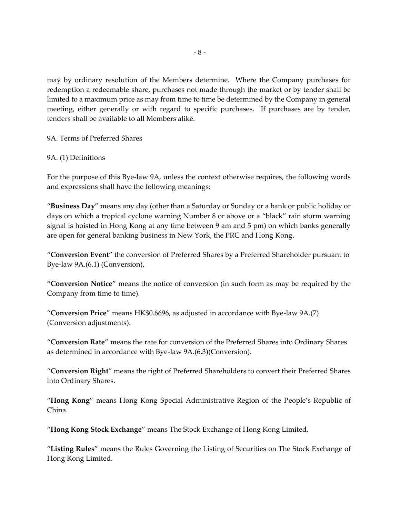may by ordinary resolution of the Members determine. Where the Company purchases for redemption a redeemable share, purchases not made through the market or by tender shall be limited to a maximum price as may from time to time be determined by the Company in general meeting, either generally or with regard to specific purchases. If purchases are by tender, tenders shall be available to all Members alike.

9A. Terms of Preferred Shares

# 9A. (1) Definitions

For the purpose of this Bye-law 9A, unless the context otherwise requires, the following words and expressions shall have the following meanings:

"**Business Day**" means any day (other than a Saturday or Sunday or a bank or public holiday or days on which a tropical cyclone warning Number 8 or above or a "black" rain storm warning signal is hoisted in Hong Kong at any time between 9 am and 5 pm) on which banks generally are open for general banking business in New York, the PRC and Hong Kong.

"**Conversion Event**" the conversion of Preferred Shares by a Preferred Shareholder pursuant to Bye-law 9A.(6.1) (Conversion).

"**Conversion Notice**" means the notice of conversion (in such form as may be required by the Company from time to time).

"**Conversion Price**" means HK\$0.6696, as adjusted in accordance with Bye-law 9A.(7) (Conversion adjustments).

"**Conversion Rate**" means the rate for conversion of the Preferred Shares into Ordinary Shares as determined in accordance with Bye-law 9A.(6.3)(Conversion).

"**Conversion Right**" means the right of Preferred Shareholders to convert their Preferred Shares into Ordinary Shares.

"**Hong Kong**" means Hong Kong Special Administrative Region of the People's Republic of China.

"**Hong Kong Stock Exchange**" means The Stock Exchange of Hong Kong Limited.

"**Listing Rules**" means the Rules Governing the Listing of Securities on The Stock Exchange of Hong Kong Limited.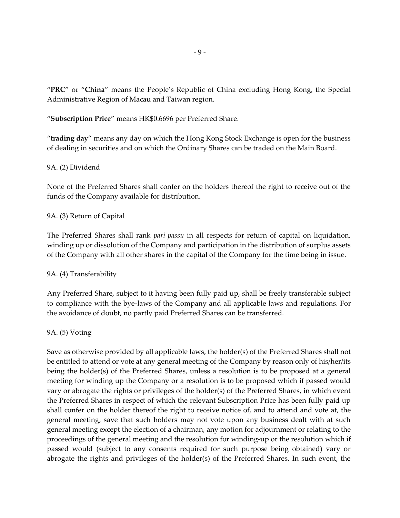"**PRC**" or "**China**" means the People's Republic of China excluding Hong Kong, the Special Administrative Region of Macau and Taiwan region.

"**Subscription Price**" means HK\$0.6696 per Preferred Share.

"**trading day**" means any day on which the Hong Kong Stock Exchange is open for the business of dealing in securities and on which the Ordinary Shares can be traded on the Main Board.

# 9A. (2) Dividend

None of the Preferred Shares shall confer on the holders thereof the right to receive out of the funds of the Company available for distribution.

## 9A. (3) Return of Capital

The Preferred Shares shall rank *pari passu* in all respects for return of capital on liquidation, winding up or dissolution of the Company and participation in the distribution of surplus assets of the Company with all other shares in the capital of the Company for the time being in issue.

## 9A. (4) Transferability

Any Preferred Share, subject to it having been fully paid up, shall be freely transferable subject to compliance with the bye-laws of the Company and all applicable laws and regulations. For the avoidance of doubt, no partly paid Preferred Shares can be transferred.

## 9A. (5) Voting

Save as otherwise provided by all applicable laws, the holder(s) of the Preferred Shares shall not be entitled to attend or vote at any general meeting of the Company by reason only of his/her/its being the holder(s) of the Preferred Shares, unless a resolution is to be proposed at a general meeting for winding up the Company or a resolution is to be proposed which if passed would vary or abrogate the rights or privileges of the holder(s) of the Preferred Shares, in which event the Preferred Shares in respect of which the relevant Subscription Price has been fully paid up shall confer on the holder thereof the right to receive notice of, and to attend and vote at, the general meeting, save that such holders may not vote upon any business dealt with at such general meeting except the election of a chairman, any motion for adjournment or relating to the proceedings of the general meeting and the resolution for winding-up or the resolution which if passed would (subject to any consents required for such purpose being obtained) vary or abrogate the rights and privileges of the holder(s) of the Preferred Shares. In such event, the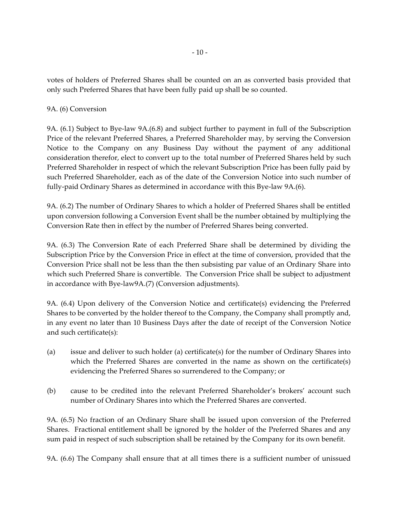votes of holders of Preferred Shares shall be counted on an as converted basis provided that only such Preferred Shares that have been fully paid up shall be so counted.

# 9A. (6) Conversion

9A. (6.1) Subject to Bye-law 9A.(6.8) and subject further to payment in full of the Subscription Price of the relevant Preferred Shares, a Preferred Shareholder may, by serving the Conversion Notice to the Company on any Business Day without the payment of any additional consideration therefor, elect to convert up to the total number of Preferred Shares held by such Preferred Shareholder in respect of which the relevant Subscription Price has been fully paid by such Preferred Shareholder, each as of the date of the Conversion Notice into such number of fully-paid Ordinary Shares as determined in accordance with this Bye-law 9A.(6).

9A. (6.2) The number of Ordinary Shares to which a holder of Preferred Shares shall be entitled upon conversion following a Conversion Event shall be the number obtained by multiplying the Conversion Rate then in effect by the number of Preferred Shares being converted.

9A. (6.3) The Conversion Rate of each Preferred Share shall be determined by dividing the Subscription Price by the Conversion Price in effect at the time of conversion, provided that the Conversion Price shall not be less than the then subsisting par value of an Ordinary Share into which such Preferred Share is convertible. The Conversion Price shall be subject to adjustment in accordance with Bye-law9A.(7) (Conversion adjustments).

9A. (6.4) Upon delivery of the Conversion Notice and certificate(s) evidencing the Preferred Shares to be converted by the holder thereof to the Company, the Company shall promptly and, in any event no later than 10 Business Days after the date of receipt of the Conversion Notice and such certificate(s):

- (a) issue and deliver to such holder (a) certificate(s) for the number of Ordinary Shares into which the Preferred Shares are converted in the name as shown on the certificate(s) evidencing the Preferred Shares so surrendered to the Company; or
- (b) cause to be credited into the relevant Preferred Shareholder's brokers' account such number of Ordinary Shares into which the Preferred Shares are converted.

9A. (6.5) No fraction of an Ordinary Share shall be issued upon conversion of the Preferred Shares. Fractional entitlement shall be ignored by the holder of the Preferred Shares and any sum paid in respect of such subscription shall be retained by the Company for its own benefit.

9A. (6.6) The Company shall ensure that at all times there is a sufficient number of unissued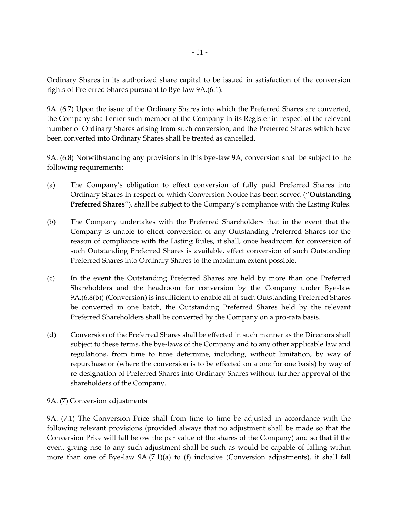Ordinary Shares in its authorized share capital to be issued in satisfaction of the conversion rights of Preferred Shares pursuant to Bye-law 9A.(6.1).

9A. (6.7) Upon the issue of the Ordinary Shares into which the Preferred Shares are converted, the Company shall enter such member of the Company in its Register in respect of the relevant number of Ordinary Shares arising from such conversion, and the Preferred Shares which have been converted into Ordinary Shares shall be treated as cancelled.

9A. (6.8) Notwithstanding any provisions in this bye-law 9A, conversion shall be subject to the following requirements:

- (a) The Company's obligation to effect conversion of fully paid Preferred Shares into Ordinary Shares in respect of which Conversion Notice has been served ("**Outstanding Preferred Shares**"), shall be subject to the Company's compliance with the Listing Rules.
- (b) The Company undertakes with the Preferred Shareholders that in the event that the Company is unable to effect conversion of any Outstanding Preferred Shares for the reason of compliance with the Listing Rules, it shall, once headroom for conversion of such Outstanding Preferred Shares is available, effect conversion of such Outstanding Preferred Shares into Ordinary Shares to the maximum extent possible.
- (c) In the event the Outstanding Preferred Shares are held by more than one Preferred Shareholders and the headroom for conversion by the Company under Bye-law 9A.(6.8(b)) (Conversion) is insufficient to enable all of such Outstanding Preferred Shares be converted in one batch, the Outstanding Preferred Shares held by the relevant Preferred Shareholders shall be converted by the Company on a pro-rata basis.
- (d) Conversion of the Preferred Shares shall be effected in such manner as the Directors shall subject to these terms, the bye-laws of the Company and to any other applicable law and regulations, from time to time determine, including, without limitation, by way of repurchase or (where the conversion is to be effected on a one for one basis) by way of re-designation of Preferred Shares into Ordinary Shares without further approval of the shareholders of the Company.

# 9A. (7) Conversion adjustments

9A. (7.1) The Conversion Price shall from time to time be adjusted in accordance with the following relevant provisions (provided always that no adjustment shall be made so that the Conversion Price will fall below the par value of the shares of the Company) and so that if the event giving rise to any such adjustment shall be such as would be capable of falling within more than one of Bye-law 9A.(7.1)(a) to (f) inclusive (Conversion adjustments), it shall fall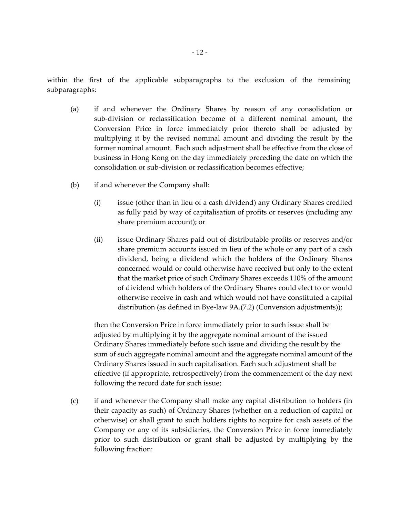within the first of the applicable subparagraphs to the exclusion of the remaining subparagraphs:

- (a) if and whenever the Ordinary Shares by reason of any consolidation or sub-division or reclassification become of a different nominal amount, the Conversion Price in force immediately prior thereto shall be adjusted by multiplying it by the revised nominal amount and dividing the result by the former nominal amount. Each such adjustment shall be effective from the close of business in Hong Kong on the day immediately preceding the date on which the consolidation or sub-division or reclassification becomes effective;
- (b) if and whenever the Company shall:
	- (i) issue (other than in lieu of a cash dividend) any Ordinary Shares credited as fully paid by way of capitalisation of profits or reserves (including any share premium account); or
	- (ii) issue Ordinary Shares paid out of distributable profits or reserves and/or share premium accounts issued in lieu of the whole or any part of a cash dividend, being a dividend which the holders of the Ordinary Shares concerned would or could otherwise have received but only to the extent that the market price of such Ordinary Shares exceeds 110% of the amount of dividend which holders of the Ordinary Shares could elect to or would otherwise receive in cash and which would not have constituted a capital distribution (as defined in Bye-law 9A.(7.2) (Conversion adjustments));

then the Conversion Price in force immediately prior to such issue shall be adjusted by multiplying it by the aggregate nominal amount of the issued Ordinary Shares immediately before such issue and dividing the result by the sum of such aggregate nominal amount and the aggregate nominal amount of the Ordinary Shares issued in such capitalisation. Each such adjustment shall be effective (if appropriate, retrospectively) from the commencement of the day next following the record date for such issue;

(c) if and whenever the Company shall make any capital distribution to holders (in their capacity as such) of Ordinary Shares (whether on a reduction of capital or otherwise) or shall grant to such holders rights to acquire for cash assets of the Company or any of its subsidiaries, the Conversion Price in force immediately prior to such distribution or grant shall be adjusted by multiplying by the following fraction: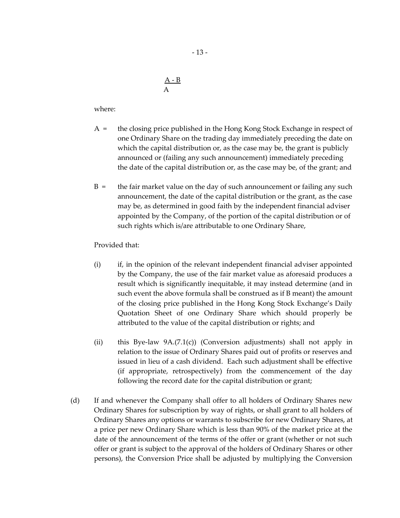$A - B$ A

where:

- A = the closing price published in the Hong Kong Stock Exchange in respect of one Ordinary Share on the trading day immediately preceding the date on which the capital distribution or, as the case may be, the grant is publicly announced or (failing any such announcement) immediately preceding the date of the capital distribution or, as the case may be, of the grant; and
- $B =$  the fair market value on the day of such announcement or failing any such announcement, the date of the capital distribution or the grant, as the case may be, as determined in good faith by the independent financial adviser appointed by the Company, of the portion of the capital distribution or of such rights which is/are attributable to one Ordinary Share,

Provided that:

- (i) if, in the opinion of the relevant independent financial adviser appointed by the Company, the use of the fair market value as aforesaid produces a result which is significantly inequitable, it may instead determine (and in such event the above formula shall be construed as if B meant) the amount of the closing price published in the Hong Kong Stock Exchange's Daily Quotation Sheet of one Ordinary Share which should properly be attributed to the value of the capital distribution or rights; and
- (ii) this Bye-law  $9A.(7.1(c))$  (Conversion adjustments) shall not apply in relation to the issue of Ordinary Shares paid out of profits or reserves and issued in lieu of a cash dividend. Each such adjustment shall be effective (if appropriate, retrospectively) from the commencement of the day following the record date for the capital distribution or grant;
- (d) If and whenever the Company shall offer to all holders of Ordinary Shares new Ordinary Shares for subscription by way of rights, or shall grant to all holders of Ordinary Shares any options or warrants to subscribe for new Ordinary Shares, at a price per new Ordinary Share which is less than 90% of the market price at the date of the announcement of the terms of the offer or grant (whether or not such offer or grant is subject to the approval of the holders of Ordinary Shares or other persons), the Conversion Price shall be adjusted by multiplying the Conversion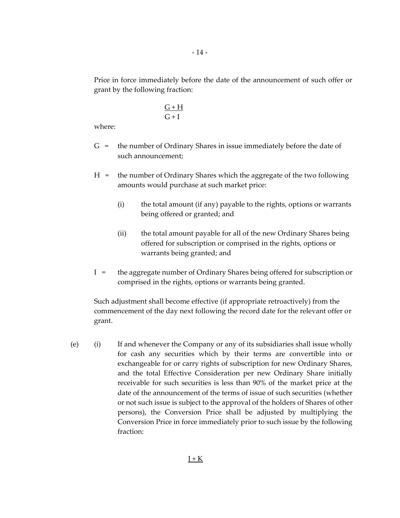Price in force immediately before the date of the announcement of such offer or grant by the following fraction:

$$
\frac{G+H}{G+I}
$$

where:

- G = the number of Ordinary Shares in issue immediately before the date of such announcement;
- H = the number of Ordinary Shares which the aggregate of the two following amounts would purchase at such market price:
	- (i) the total amount (if any) payable to the rights, options or warrants being offered or granted; and
	- (ii) the total amount payable for all of the new Ordinary Shares being offered for subscription or comprised in the rights, options or warrants being granted; and
- I = the aggregate number of Ordinary Shares being offered for subscription or comprised in the rights, options or warrants being granted.

Such adjustment shall become effective (if appropriate retroactively) from the commencement of the day next following the record date for the relevant offer or grant.

(e) (i) If and whenever the Company or any of its subsidiaries shall issue wholly for cash any securities which by their terms are convertible into or exchangeable for or carry rights of subscription for new Ordinary Shares, and the total Effective Consideration per new Ordinary Share initially receivable for such securities is less than 90% of the market price at the date of the announcement of the terms of issue of such securities (whether or not such issue is subject to the approval of the holders of Shares of other persons), the Conversion Price shall be adjusted by multiplying the Conversion Price in force immediately prior to such issue by the following fraction: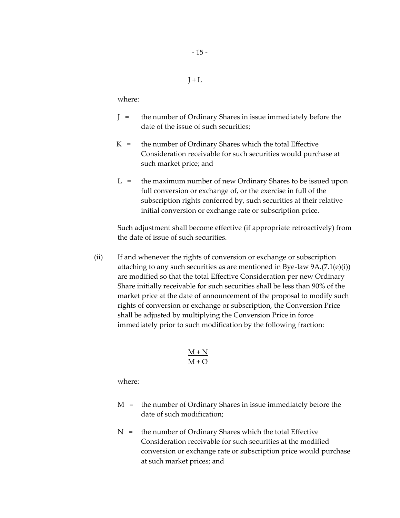#### $I + L$

where:

- J = the number of Ordinary Shares in issue immediately before the date of the issue of such securities;
- $K =$  the number of Ordinary Shares which the total Effective Consideration receivable for such securities would purchase at such market price; and
- $L =$  the maximum number of new Ordinary Shares to be issued upon full conversion or exchange of, or the exercise in full of the subscription rights conferred by, such securities at their relative initial conversion or exchange rate or subscription price.

Such adjustment shall become effective (if appropriate retroactively) from the date of issue of such securities.

(ii) If and whenever the rights of conversion or exchange or subscription attaching to any such securities as are mentioned in Bye-law 9A.(7.1(e)(i)) are modified so that the total Effective Consideration per new Ordinary Share initially receivable for such securities shall be less than 90% of the market price at the date of announcement of the proposal to modify such rights of conversion or exchange or subscription, the Conversion Price shall be adjusted by multiplying the Conversion Price in force immediately prior to such modification by the following fraction:

$$
\frac{M+N}{M+O}
$$

where:

- M = the number of Ordinary Shares in issue immediately before the date of such modification;
- $N =$  the number of Ordinary Shares which the total Effective Consideration receivable for such securities at the modified conversion or exchange rate or subscription price would purchase at such market prices; and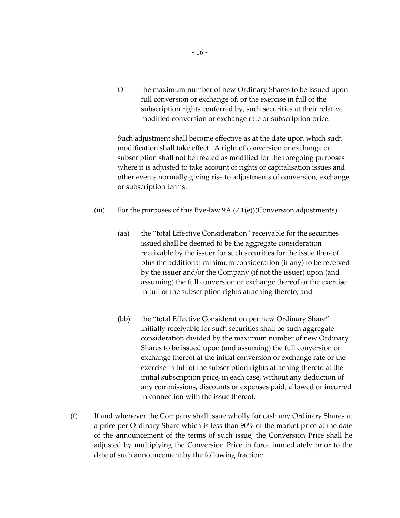O = the maximum number of new Ordinary Shares to be issued upon full conversion or exchange of, or the exercise in full of the subscription rights conferred by, such securities at their relative modified conversion or exchange rate or subscription price.

Such adjustment shall become effective as at the date upon which such modification shall take effect. A right of conversion or exchange or subscription shall not be treated as modified for the foregoing purposes where it is adjusted to take account of rights or capitalisation issues and other events normally giving rise to adjustments of conversion, exchange or subscription terms.

- (iii) For the purposes of this Bye-law  $9A.(7.1(e))$  (Conversion adjustments):
	- (aa) the "total Effective Consideration" receivable for the securities issued shall be deemed to be the aggregate consideration receivable by the issuer for such securities for the issue thereof plus the additional minimum consideration (if any) to be received by the issuer and/or the Company (if not the issuer) upon (and assuming) the full conversion or exchange thereof or the exercise in full of the subscription rights attaching thereto; and
	- (bb) the "total Effective Consideration per new Ordinary Share" initially receivable for such securities shall be such aggregate consideration divided by the maximum number of new Ordinary Shares to be issued upon (and assuming) the full conversion or exchange thereof at the initial conversion or exchange rate or the exercise in full of the subscription rights attaching thereto at the initial subscription price, in each case, without any deduction of any commissions, discounts or expenses paid, allowed or incurred in connection with the issue thereof.
- (f) If and whenever the Company shall issue wholly for cash any Ordinary Shares at a price per Ordinary Share which is less than 90% of the market price at the date of the announcement of the terms of such issue, the Conversion Price shall he adjusted by multiplying the Conversion Price in force immediately prior to the date of such announcement by the following fraction: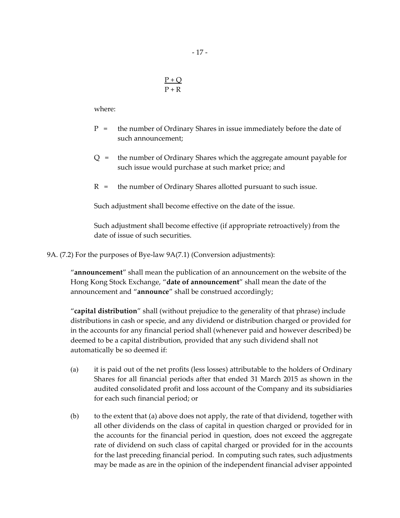$$
\frac{P+Q}{P+R}
$$

where:

- P = the number of Ordinary Shares in issue immediately before the date of such announcement;
- Q = the number of Ordinary Shares which the aggregate amount payable for such issue would purchase at such market price; and
- $R =$  the number of Ordinary Shares allotted pursuant to such issue.

Such adjustment shall become effective on the date of the issue.

Such adjustment shall become effective (if appropriate retroactively) from the date of issue of such securities.

9A. (7.2) For the purposes of Bye-law 9A(7.1) (Conversion adjustments):

"**announcement**" shall mean the publication of an announcement on the website of the Hong Kong Stock Exchange, "**date of announcement**" shall mean the date of the announcement and "**announce**" shall be construed accordingly;

"**capital distribution**" shall (without prejudice to the generality of that phrase) include distributions in cash or specie, and any dividend or distribution charged or provided for in the accounts for any financial period shall (whenever paid and however described) be deemed to be a capital distribution, provided that any such dividend shall not automatically be so deemed if:

- (a) it is paid out of the net profits (less losses) attributable to the holders of Ordinary Shares for all financial periods after that ended 31 March 2015 as shown in the audited consolidated profit and loss account of the Company and its subsidiaries for each such financial period; or
- (b) to the extent that (a) above does not apply, the rate of that dividend, together with all other dividends on the class of capital in question charged or provided for in the accounts for the financial period in question, does not exceed the aggregate rate of dividend on such class of capital charged or provided for in the accounts for the last preceding financial period. In computing such rates, such adjustments may be made as are in the opinion of the independent financial adviser appointed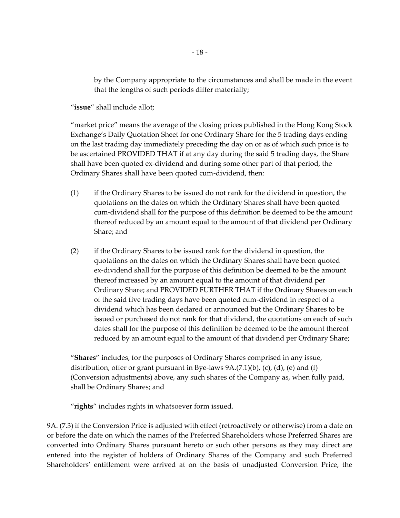by the Company appropriate to the circumstances and shall be made in the event that the lengths of such periods differ materially;

"**issue**" shall include allot;

"market price" means the average of the closing prices published in the Hong Kong Stock Exchange's Daily Quotation Sheet for one Ordinary Share for the 5 trading days ending on the last trading day immediately preceding the day on or as of which such price is to be ascertained PROVIDED THAT if at any day during the said 5 trading days, the Share shall have been quoted ex-dividend and during some other part of that period, the Ordinary Shares shall have been quoted cum-dividend, then:

- (1) if the Ordinary Shares to be issued do not rank for the dividend in question, the quotations on the dates on which the Ordinary Shares shall have been quoted cum-dividend shall for the purpose of this definition be deemed to be the amount thereof reduced by an amount equal to the amount of that dividend per Ordinary Share; and
- (2) if the Ordinary Shares to be issued rank for the dividend in question, the quotations on the dates on which the Ordinary Shares shall have been quoted ex-dividend shall for the purpose of this definition be deemed to be the amount thereof increased by an amount equal to the amount of that dividend per Ordinary Share; and PROVIDED FURTHER THAT if the Ordinary Shares on each of the said five trading days have been quoted cum-dividend in respect of a dividend which has been declared or announced but the Ordinary Shares to be issued or purchased do not rank for that dividend, the quotations on each of such dates shall for the purpose of this definition be deemed to be the amount thereof reduced by an amount equal to the amount of that dividend per Ordinary Share;

"**Shares**" includes, for the purposes of Ordinary Shares comprised in any issue, distribution, offer or grant pursuant in Bye-laws  $9A.(7.1)(b)$ , (c), (d), (e) and (f) (Conversion adjustments) above, any such shares of the Company as, when fully paid, shall be Ordinary Shares; and

"**rights**" includes rights in whatsoever form issued.

9A. (7.3) if the Conversion Price is adjusted with effect (retroactively or otherwise) from a date on or before the date on which the names of the Preferred Shareholders whose Preferred Shares are converted into Ordinary Shares pursuant hereto or such other persons as they may direct are entered into the register of holders of Ordinary Shares of the Company and such Preferred Shareholders' entitlement were arrived at on the basis of unadjusted Conversion Price, the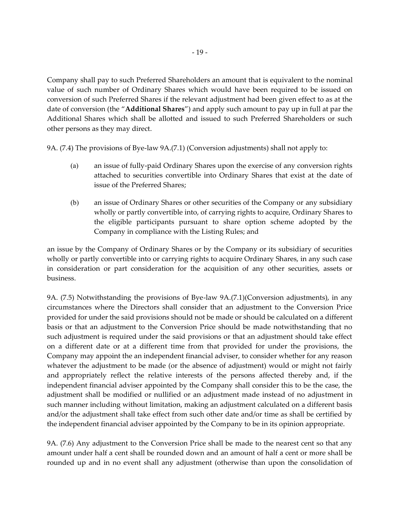Company shall pay to such Preferred Shareholders an amount that is equivalent to the nominal value of such number of Ordinary Shares which would have been required to be issued on conversion of such Preferred Shares if the relevant adjustment had been given effect to as at the date of conversion (the "**Additional Shares**") and apply such amount to pay up in full at par the Additional Shares which shall be allotted and issued to such Preferred Shareholders or such other persons as they may direct.

9A. (7.4) The provisions of Bye-law 9A.(7.1) (Conversion adjustments) shall not apply to:

- (a) an issue of fully-paid Ordinary Shares upon the exercise of any conversion rights attached to securities convertible into Ordinary Shares that exist at the date of issue of the Preferred Shares;
- (b) an issue of Ordinary Shares or other securities of the Company or any subsidiary wholly or partly convertible into, of carrying rights to acquire, Ordinary Shares to the eligible participants pursuant to share option scheme adopted by the Company in compliance with the Listing Rules; and

an issue by the Company of Ordinary Shares or by the Company or its subsidiary of securities wholly or partly convertible into or carrying rights to acquire Ordinary Shares, in any such case in consideration or part consideration for the acquisition of any other securities, assets or business.

9A. (7.5) Notwithstanding the provisions of Bye-law 9A.(7.1)(Conversion adjustments), in any circumstances where the Directors shall consider that an adjustment to the Conversion Price provided for under the said provisions should not be made or should be calculated on a different basis or that an adjustment to the Conversion Price should be made notwithstanding that no such adjustment is required under the said provisions or that an adjustment should take effect on a different date or at a different time from that provided for under the provisions, the Company may appoint the an independent financial adviser, to consider whether for any reason whatever the adjustment to be made (or the absence of adjustment) would or might not fairly and appropriately reflect the relative interests of the persons affected thereby and, if the independent financial adviser appointed by the Company shall consider this to be the case, the adjustment shall be modified or nullified or an adjustment made instead of no adjustment in such manner including without limitation, making an adjustment calculated on a different basis and/or the adjustment shall take effect from such other date and/or time as shall be certified by the independent financial adviser appointed by the Company to be in its opinion appropriate.

9A. (7.6) Any adjustment to the Conversion Price shall be made to the nearest cent so that any amount under half a cent shall be rounded down and an amount of half a cent or more shall be rounded up and in no event shall any adjustment (otherwise than upon the consolidation of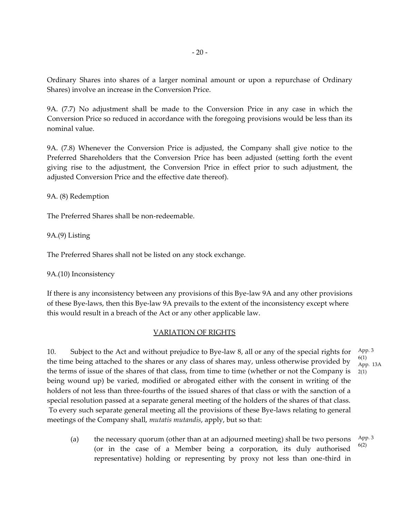Ordinary Shares into shares of a larger nominal amount or upon a repurchase of Ordinary Shares) involve an increase in the Conversion Price.

9A. (7.7) No adjustment shall be made to the Conversion Price in any case in which the Conversion Price so reduced in accordance with the foregoing provisions would be less than its nominal value.

9A. (7.8) Whenever the Conversion Price is adjusted, the Company shall give notice to the Preferred Shareholders that the Conversion Price has been adjusted (setting forth the event giving rise to the adjustment, the Conversion Price in effect prior to such adjustment, the adjusted Conversion Price and the effective date thereof).

9A. (8) Redemption

The Preferred Shares shall be non-redeemable.

9A.(9) Listing

The Preferred Shares shall not be listed on any stock exchange.

9A.(10) Inconsistency

If there is any inconsistency between any provisions of this Bye-law 9A and any other provisions of these Bye-laws, then this Bye-law 9A prevails to the extent of the inconsistency except where this would result in a breach of the Act or any other applicable law.

# VARIATION OF RIGHTS

10. Subject to the Act and without prejudice to Bye-law 8, all or any of the special rights for the time being attached to the shares or any class of shares may, unless otherwise provided by the terms of issue of the shares of that class, from time to time (whether or not the Company is being wound up) be varied, modified or abrogated either with the consent in writing of the holders of not less than three-fourths of the issued shares of that class or with the sanction of a special resolution passed at a separate general meeting of the holders of the shares of that class. To every such separate general meeting all the provisions of these Bye-laws relating to general meetings of the Company shall, *mutatis mutandis*, apply, but so that: 2(1)

(a) the necessary quorum (other than at an adjourned meeting) shall be two persons (or in the case of a Member being a corporation, its duly authorised representative) holding or representing by proxy not less than one-third in App. 3 6(2)

App. 3 6(1) App. 13A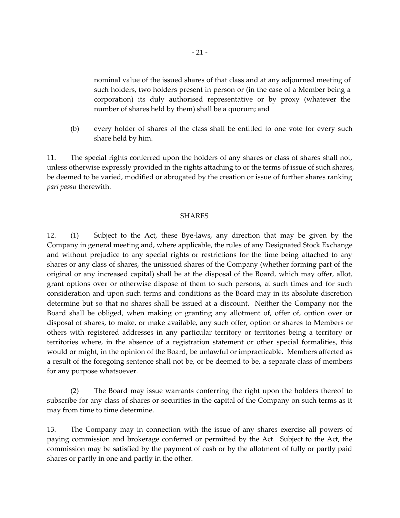nominal value of the issued shares of that class and at any adjourned meeting of such holders, two holders present in person or (in the case of a Member being a corporation) its duly authorised representative or by proxy (whatever the number of shares held by them) shall be a quorum; and

(b) every holder of shares of the class shall be entitled to one vote for every such share held by him.

11. The special rights conferred upon the holders of any shares or class of shares shall not, unless otherwise expressly provided in the rights attaching to or the terms of issue of such shares, be deemed to be varied, modified or abrogated by the creation or issue of further shares ranking *pari passu* therewith.

## SHARES

12. (1) Subject to the Act, these Bye-laws, any direction that may be given by the Company in general meeting and, where applicable, the rules of any Designated Stock Exchange and without prejudice to any special rights or restrictions for the time being attached to any shares or any class of shares, the unissued shares of the Company (whether forming part of the original or any increased capital) shall be at the disposal of the Board, which may offer, allot, grant options over or otherwise dispose of them to such persons, at such times and for such consideration and upon such terms and conditions as the Board may in its absolute discretion determine but so that no shares shall be issued at a discount. Neither the Company nor the Board shall be obliged, when making or granting any allotment of, offer of, option over or disposal of shares, to make, or make available, any such offer, option or shares to Members or others with registered addresses in any particular territory or territories being a territory or territories where, in the absence of a registration statement or other special formalities, this would or might, in the opinion of the Board, be unlawful or impracticable. Members affected as a result of the foregoing sentence shall not be, or be deemed to be, a separate class of members for any purpose whatsoever.

(2) The Board may issue warrants conferring the right upon the holders thereof to subscribe for any class of shares or securities in the capital of the Company on such terms as it may from time to time determine.

13. The Company may in connection with the issue of any shares exercise all powers of paying commission and brokerage conferred or permitted by the Act. Subject to the Act, the commission may be satisfied by the payment of cash or by the allotment of fully or partly paid shares or partly in one and partly in the other.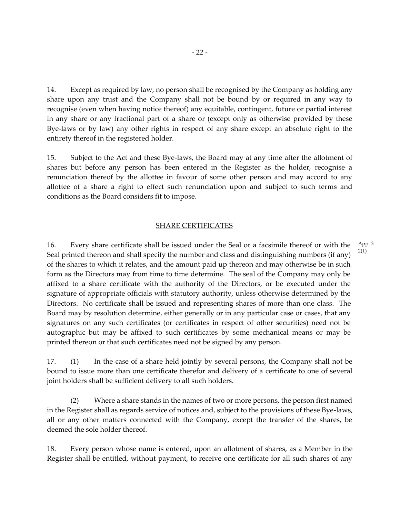14. Except as required by law, no person shall be recognised by the Company as holding any share upon any trust and the Company shall not be bound by or required in any way to recognise (even when having notice thereof) any equitable, contingent, future or partial interest in any share or any fractional part of a share or (except only as otherwise provided by these Bye-laws or by law) any other rights in respect of any share except an absolute right to the entirety thereof in the registered holder.

15. Subject to the Act and these Bye-laws, the Board may at any time after the allotment of shares but before any person has been entered in the Register as the holder, recognise a renunciation thereof by the allottee in favour of some other person and may accord to any allottee of a share a right to effect such renunciation upon and subject to such terms and conditions as the Board considers fit to impose.

#### SHARE CERTIFICATES

16. Every share certificate shall be issued under the Seal or a facsimile thereof or with the Seal printed thereon and shall specify the number and class and distinguishing numbers (if any) of the shares to which it relates, and the amount paid up thereon and may otherwise be in such form as the Directors may from time to time determine. The seal of the Company may only be affixed to a share certificate with the authority of the Directors, or be executed under the signature of appropriate officials with statutory authority, unless otherwise determined by the Directors. No certificate shall be issued and representing shares of more than one class. The Board may by resolution determine, either generally or in any particular case or cases, that any signatures on any such certificates (or certificates in respect of other securities) need not be autographic but may be affixed to such certificates by some mechanical means or may be printed thereon or that such certificates need not be signed by any person.

App. 3 2(1)

17. (1) In the case of a share held jointly by several persons, the Company shall not be bound to issue more than one certificate therefor and delivery of a certificate to one of several joint holders shall be sufficient delivery to all such holders.

(2) Where a share stands in the names of two or more persons, the person first named in the Register shall as regards service of notices and, subject to the provisions of these Bye-laws, all or any other matters connected with the Company, except the transfer of the shares, be deemed the sole holder thereof.

18. Every person whose name is entered, upon an allotment of shares, as a Member in the Register shall be entitled, without payment, to receive one certificate for all such shares of any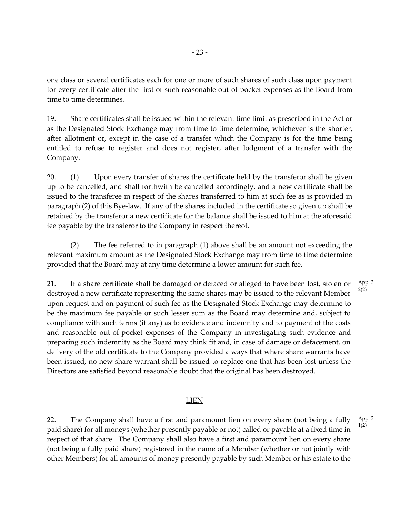one class or several certificates each for one or more of such shares of such class upon payment for every certificate after the first of such reasonable out-of-pocket expenses as the Board from time to time determines.

19. Share certificates shall be issued within the relevant time limit as prescribed in the Act or as the Designated Stock Exchange may from time to time determine, whichever is the shorter, after allotment or, except in the case of a transfer which the Company is for the time being entitled to refuse to register and does not register, after lodgment of a transfer with the Company.

20. (1) Upon every transfer of shares the certificate held by the transferor shall be given up to be cancelled, and shall forthwith be cancelled accordingly, and a new certificate shall be issued to the transferee in respect of the shares transferred to him at such fee as is provided in paragraph (2) of this Bye-law. If any of the shares included in the certificate so given up shall be retained by the transferor a new certificate for the balance shall be issued to him at the aforesaid fee payable by the transferor to the Company in respect thereof.

(2) The fee referred to in paragraph (1) above shall be an amount not exceeding the relevant maximum amount as the Designated Stock Exchange may from time to time determine provided that the Board may at any time determine a lower amount for such fee.

21. If a share certificate shall be damaged or defaced or alleged to have been lost, stolen or destroyed a new certificate representing the same shares may be issued to the relevant Member upon request and on payment of such fee as the Designated Stock Exchange may determine to be the maximum fee payable or such lesser sum as the Board may determine and, subject to compliance with such terms (if any) as to evidence and indemnity and to payment of the costs and reasonable out-of-pocket expenses of the Company in investigating such evidence and preparing such indemnity as the Board may think fit and, in case of damage or defacement, on delivery of the old certificate to the Company provided always that where share warrants have been issued, no new share warrant shall be issued to replace one that has been lost unless the Directors are satisfied beyond reasonable doubt that the original has been destroyed. App. 3 2(2)

# LIEN

22. The Company shall have a first and paramount lien on every share (not being a fully paid share) for all moneys (whether presently payable or not) called or payable at a fixed time in respect of that share. The Company shall also have a first and paramount lien on every share (not being a fully paid share) registered in the name of a Member (whether or not jointly with other Members) for all amounts of money presently payable by such Member or his estate to the App. 3 1(2)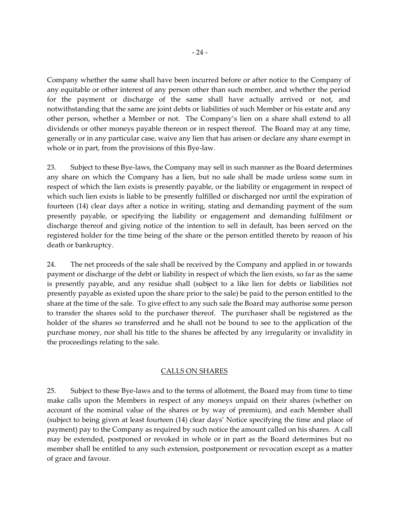Company whether the same shall have been incurred before or after notice to the Company of any equitable or other interest of any person other than such member, and whether the period for the payment or discharge of the same shall have actually arrived or not, and notwithstanding that the same are joint debts or liabilities of such Member or his estate and any other person, whether a Member or not. The Company's lien on a share shall extend to all dividends or other moneys payable thereon or in respect thereof. The Board may at any time, generally or in any particular case, waive any lien that has arisen or declare any share exempt in whole or in part, from the provisions of this Bye-law.

23. Subject to these Bye-laws, the Company may sell in such manner as the Board determines any share on which the Company has a lien, but no sale shall be made unless some sum in respect of which the lien exists is presently payable, or the liability or engagement in respect of which such lien exists is liable to be presently fulfilled or discharged nor until the expiration of fourteen (14) clear days after a notice in writing, stating and demanding payment of the sum presently payable, or specifying the liability or engagement and demanding fulfilment or discharge thereof and giving notice of the intention to sell in default, has been served on the registered holder for the time being of the share or the person entitled thereto by reason of his death or bankruptcy.

24. The net proceeds of the sale shall be received by the Company and applied in or towards payment or discharge of the debt or liability in respect of which the lien exists, so far as the same is presently payable, and any residue shall (subject to a like lien for debts or liabilities not presently payable as existed upon the share prior to the sale) be paid to the person entitled to the share at the time of the sale. To give effect to any such sale the Board may authorise some person to transfer the shares sold to the purchaser thereof. The purchaser shall be registered as the holder of the shares so transferred and he shall not be bound to see to the application of the purchase money, nor shall his title to the shares be affected by any irregularity or invalidity in the proceedings relating to the sale.

# CALLS ON SHARES

25. Subject to these Bye-laws and to the terms of allotment, the Board may from time to time make calls upon the Members in respect of any moneys unpaid on their shares (whether on account of the nominal value of the shares or by way of premium), and each Member shall (subject to being given at least fourteen (14) clear days' Notice specifying the time and place of payment) pay to the Company as required by such notice the amount called on his shares. A call may be extended, postponed or revoked in whole or in part as the Board determines but no member shall be entitled to any such extension, postponement or revocation except as a matter of grace and favour.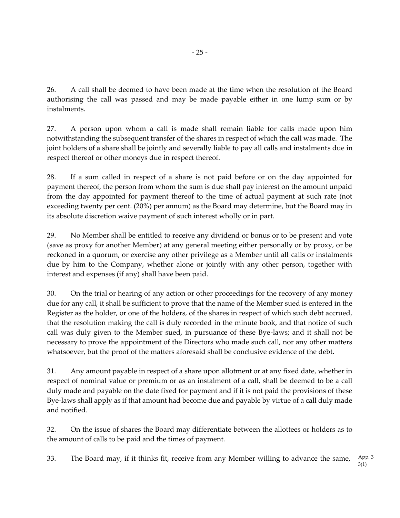26. A call shall be deemed to have been made at the time when the resolution of the Board authorising the call was passed and may be made payable either in one lump sum or by instalments.

27. A person upon whom a call is made shall remain liable for calls made upon him notwithstanding the subsequent transfer of the shares in respect of which the call was made. The joint holders of a share shall be jointly and severally liable to pay all calls and instalments due in respect thereof or other moneys due in respect thereof.

28. If a sum called in respect of a share is not paid before or on the day appointed for payment thereof, the person from whom the sum is due shall pay interest on the amount unpaid from the day appointed for payment thereof to the time of actual payment at such rate (not exceeding twenty per cent. (20%) per annum) as the Board may determine, but the Board may in its absolute discretion waive payment of such interest wholly or in part.

29. No Member shall be entitled to receive any dividend or bonus or to be present and vote (save as proxy for another Member) at any general meeting either personally or by proxy, or be reckoned in a quorum, or exercise any other privilege as a Member until all calls or instalments due by him to the Company, whether alone or jointly with any other person, together with interest and expenses (if any) shall have been paid.

30. On the trial or hearing of any action or other proceedings for the recovery of any money due for any call, it shall be sufficient to prove that the name of the Member sued is entered in the Register as the holder, or one of the holders, of the shares in respect of which such debt accrued, that the resolution making the call is duly recorded in the minute book, and that notice of such call was duly given to the Member sued, in pursuance of these Bye-laws; and it shall not be necessary to prove the appointment of the Directors who made such call, nor any other matters whatsoever, but the proof of the matters aforesaid shall be conclusive evidence of the debt.

31. Any amount payable in respect of a share upon allotment or at any fixed date, whether in respect of nominal value or premium or as an instalment of a call, shall be deemed to be a call duly made and payable on the date fixed for payment and if it is not paid the provisions of these Bye-laws shall apply as if that amount had become due and payable by virtue of a call duly made and notified.

32. On the issue of shares the Board may differentiate between the allottees or holders as to the amount of calls to be paid and the times of payment.

33. The Board may, if it thinks fit, receive from any Member willing to advance the same, App. 3

3(1)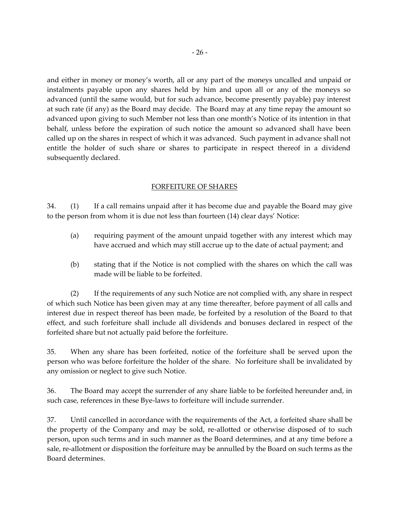and either in money or money's worth, all or any part of the moneys uncalled and unpaid or instalments payable upon any shares held by him and upon all or any of the moneys so advanced (until the same would, but for such advance, become presently payable) pay interest at such rate (if any) as the Board may decide. The Board may at any time repay the amount so advanced upon giving to such Member not less than one month's Notice of its intention in that behalf, unless before the expiration of such notice the amount so advanced shall have been called up on the shares in respect of which it was advanced. Such payment in advance shall not entitle the holder of such share or shares to participate in respect thereof in a dividend subsequently declared.

# FORFEITURE OF SHARES

34. (1) If a call remains unpaid after it has become due and payable the Board may give to the person from whom it is due not less than fourteen (14) clear days' Notice:

- (a) requiring payment of the amount unpaid together with any interest which may have accrued and which may still accrue up to the date of actual payment; and
- (b) stating that if the Notice is not complied with the shares on which the call was made will be liable to be forfeited.

(2) If the requirements of any such Notice are not complied with, any share in respect of which such Notice has been given may at any time thereafter, before payment of all calls and interest due in respect thereof has been made, be forfeited by a resolution of the Board to that effect, and such forfeiture shall include all dividends and bonuses declared in respect of the forfeited share but not actually paid before the forfeiture.

35. When any share has been forfeited, notice of the forfeiture shall be served upon the person who was before forfeiture the holder of the share. No forfeiture shall be invalidated by any omission or neglect to give such Notice.

36. The Board may accept the surrender of any share liable to be forfeited hereunder and, in such case, references in these Bye-laws to forfeiture will include surrender.

37. Until cancelled in accordance with the requirements of the Act, a forfeited share shall be the property of the Company and may be sold, re-allotted or otherwise disposed of to such person, upon such terms and in such manner as the Board determines, and at any time before a sale, re-allotment or disposition the forfeiture may be annulled by the Board on such terms as the Board determines.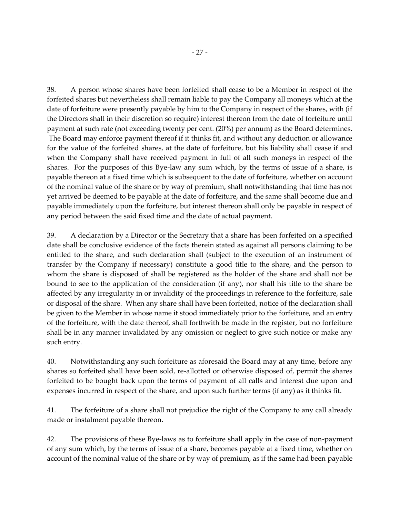38. A person whose shares have been forfeited shall cease to be a Member in respect of the forfeited shares but nevertheless shall remain liable to pay the Company all moneys which at the date of forfeiture were presently payable by him to the Company in respect of the shares, with (if the Directors shall in their discretion so require) interest thereon from the date of forfeiture until payment at such rate (not exceeding twenty per cent. (20%) per annum) as the Board determines. The Board may enforce payment thereof if it thinks fit, and without any deduction or allowance for the value of the forfeited shares, at the date of forfeiture, but his liability shall cease if and when the Company shall have received payment in full of all such moneys in respect of the shares. For the purposes of this Bye-law any sum which, by the terms of issue of a share, is payable thereon at a fixed time which is subsequent to the date of forfeiture, whether on account of the nominal value of the share or by way of premium, shall notwithstanding that time has not yet arrived be deemed to be payable at the date of forfeiture, and the same shall become due and payable immediately upon the forfeiture, but interest thereon shall only be payable in respect of any period between the said fixed time and the date of actual payment.

39. A declaration by a Director or the Secretary that a share has been forfeited on a specified date shall be conclusive evidence of the facts therein stated as against all persons claiming to be entitled to the share, and such declaration shall (subject to the execution of an instrument of transfer by the Company if necessary) constitute a good title to the share, and the person to whom the share is disposed of shall be registered as the holder of the share and shall not be bound to see to the application of the consideration (if any), nor shall his title to the share be affected by any irregularity in or invalidity of the proceedings in reference to the forfeiture, sale or disposal of the share. When any share shall have been forfeited, notice of the declaration shall be given to the Member in whose name it stood immediately prior to the forfeiture, and an entry of the forfeiture, with the date thereof, shall forthwith be made in the register, but no forfeiture shall be in any manner invalidated by any omission or neglect to give such notice or make any such entry.

40. Notwithstanding any such forfeiture as aforesaid the Board may at any time, before any shares so forfeited shall have been sold, re-allotted or otherwise disposed of, permit the shares forfeited to be bought back upon the terms of payment of all calls and interest due upon and expenses incurred in respect of the share, and upon such further terms (if any) as it thinks fit.

41. The forfeiture of a share shall not prejudice the right of the Company to any call already made or instalment payable thereon.

42. The provisions of these Bye-laws as to forfeiture shall apply in the case of non-payment of any sum which, by the terms of issue of a share, becomes payable at a fixed time, whether on account of the nominal value of the share or by way of premium, as if the same had been payable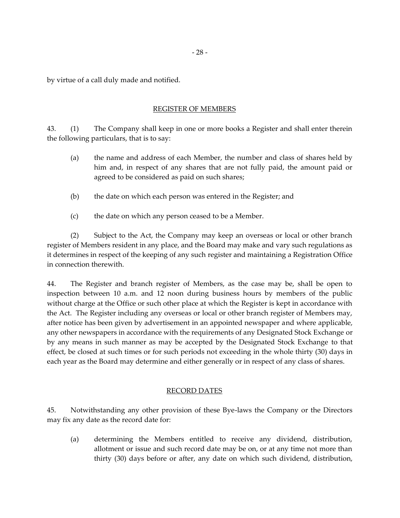by virtue of a call duly made and notified.

## REGISTER OF MEMBERS

43. (1) The Company shall keep in one or more books a Register and shall enter therein the following particulars, that is to say:

- (a) the name and address of each Member, the number and class of shares held by him and, in respect of any shares that are not fully paid, the amount paid or agreed to be considered as paid on such shares;
- (b) the date on which each person was entered in the Register; and
- (c) the date on which any person ceased to be a Member.

(2) Subject to the Act, the Company may keep an overseas or local or other branch register of Members resident in any place, and the Board may make and vary such regulations as it determines in respect of the keeping of any such register and maintaining a Registration Office in connection therewith.

44. The Register and branch register of Members, as the case may be, shall be open to inspection between 10 a.m. and 12 noon during business hours by members of the public without charge at the Office or such other place at which the Register is kept in accordance with the Act. The Register including any overseas or local or other branch register of Members may, after notice has been given by advertisement in an appointed newspaper and where applicable, any other newspapers in accordance with the requirements of any Designated Stock Exchange or by any means in such manner as may be accepted by the Designated Stock Exchange to that effect, be closed at such times or for such periods not exceeding in the whole thirty (30) days in each year as the Board may determine and either generally or in respect of any class of shares.

# RECORD DATES

45. Notwithstanding any other provision of these Bye-laws the Company or the Directors may fix any date as the record date for:

(a) determining the Members entitled to receive any dividend, distribution, allotment or issue and such record date may be on, or at any time not more than thirty (30) days before or after, any date on which such dividend, distribution,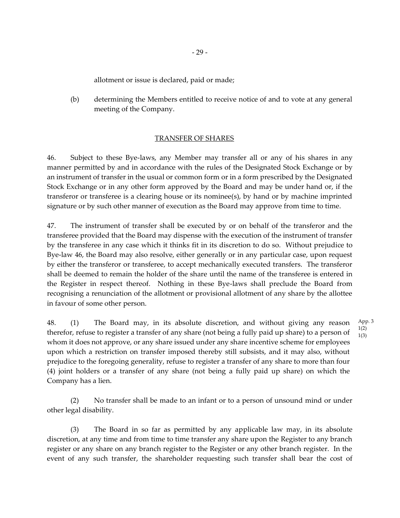allotment or issue is declared, paid or made;

(b) determining the Members entitled to receive notice of and to vote at any general meeting of the Company.

#### TRANSFER OF SHARES

46. Subject to these Bye-laws, any Member may transfer all or any of his shares in any manner permitted by and in accordance with the rules of the Designated Stock Exchange or by an instrument of transfer in the usual or common form or in a form prescribed by the Designated Stock Exchange or in any other form approved by the Board and may be under hand or, if the transferor or transferee is a clearing house or its nominee(s), by hand or by machine imprinted signature or by such other manner of execution as the Board may approve from time to time.

47. The instrument of transfer shall be executed by or on behalf of the transferor and the transferee provided that the Board may dispense with the execution of the instrument of transfer by the transferee in any case which it thinks fit in its discretion to do so. Without prejudice to Bye-law 46, the Board may also resolve, either generally or in any particular case, upon request by either the transferor or transferee, to accept mechanically executed transfers. The transferor shall be deemed to remain the holder of the share until the name of the transferee is entered in the Register in respect thereof. Nothing in these Bye-laws shall preclude the Board from recognising a renunciation of the allotment or provisional allotment of any share by the allottee in favour of some other person.

48. (1) The Board may, in its absolute discretion, and without giving any reason therefor, refuse to register a transfer of any share (not being a fully paid up share) to a person of whom it does not approve, or any share issued under any share incentive scheme for employees upon which a restriction on transfer imposed thereby still subsists, and it may also, without prejudice to the foregoing generality, refuse to register a transfer of any share to more than four (4) joint holders or a transfer of any share (not being a fully paid up share) on which the Company has a lien. 1(3)

(2) No transfer shall be made to an infant or to a person of unsound mind or under other legal disability.

(3) The Board in so far as permitted by any applicable law may, in its absolute discretion, at any time and from time to time transfer any share upon the Register to any branch register or any share on any branch register to the Register or any other branch register. In the event of any such transfer, the shareholder requesting such transfer shall bear the cost of

App. 3 1(2)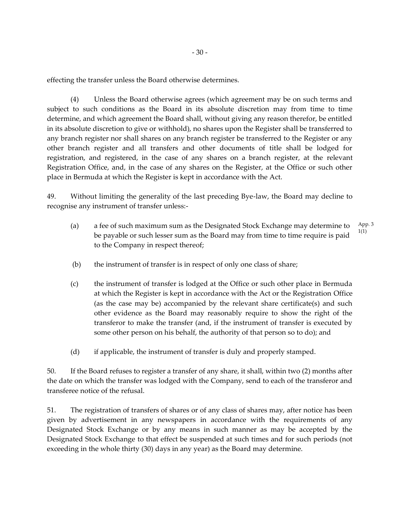effecting the transfer unless the Board otherwise determines.

(4) Unless the Board otherwise agrees (which agreement may be on such terms and subject to such conditions as the Board in its absolute discretion may from time to time determine, and which agreement the Board shall, without giving any reason therefor, be entitled in its absolute discretion to give or withhold), no shares upon the Register shall be transferred to any branch register nor shall shares on any branch register be transferred to the Register or any other branch register and all transfers and other documents of title shall be lodged for registration, and registered, in the case of any shares on a branch register, at the relevant Registration Office, and, in the case of any shares on the Register, at the Office or such other place in Bermuda at which the Register is kept in accordance with the Act.

49. Without limiting the generality of the last preceding Bye-law, the Board may decline to recognise any instrument of transfer unless:-

- (a) a fee of such maximum sum as the Designated Stock Exchange may determine to be payable or such lesser sum as the Board may from time to time require is paid to the Company in respect thereof; App. 3 1(1)
- (b) the instrument of transfer is in respect of only one class of share;
- (c) the instrument of transfer is lodged at the Office or such other place in Bermuda at which the Register is kept in accordance with the Act or the Registration Office (as the case may be) accompanied by the relevant share certificate(s) and such other evidence as the Board may reasonably require to show the right of the transferor to make the transfer (and, if the instrument of transfer is executed by some other person on his behalf, the authority of that person so to do); and
- (d) if applicable, the instrument of transfer is duly and properly stamped.

50. If the Board refuses to register a transfer of any share, it shall, within two (2) months after the date on which the transfer was lodged with the Company, send to each of the transferor and transferee notice of the refusal.

51. The registration of transfers of shares or of any class of shares may, after notice has been given by advertisement in any newspapers in accordance with the requirements of any Designated Stock Exchange or by any means in such manner as may be accepted by the Designated Stock Exchange to that effect be suspended at such times and for such periods (not exceeding in the whole thirty (30) days in any year) as the Board may determine.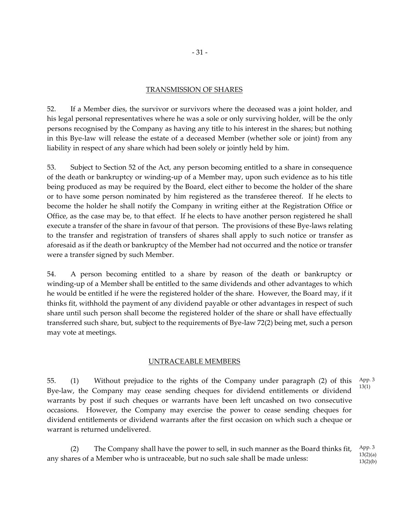#### TRANSMISSION OF SHARES

52. If a Member dies, the survivor or survivors where the deceased was a joint holder, and his legal personal representatives where he was a sole or only surviving holder, will be the only persons recognised by the Company as having any title to his interest in the shares; but nothing in this Bye-law will release the estate of a deceased Member (whether sole or joint) from any liability in respect of any share which had been solely or jointly held by him.

53. Subject to Section 52 of the Act, any person becoming entitled to a share in consequence of the death or bankruptcy or winding-up of a Member may, upon such evidence as to his title being produced as may be required by the Board, elect either to become the holder of the share or to have some person nominated by him registered as the transferee thereof. If he elects to become the holder he shall notify the Company in writing either at the Registration Office or Office, as the case may be, to that effect. If he elects to have another person registered he shall execute a transfer of the share in favour of that person. The provisions of these Bye-laws relating to the transfer and registration of transfers of shares shall apply to such notice or transfer as aforesaid as if the death or bankruptcy of the Member had not occurred and the notice or transfer were a transfer signed by such Member.

54. A person becoming entitled to a share by reason of the death or bankruptcy or winding-up of a Member shall be entitled to the same dividends and other advantages to which he would be entitled if he were the registered holder of the share. However, the Board may, if it thinks fit, withhold the payment of any dividend payable or other advantages in respect of such share until such person shall become the registered holder of the share or shall have effectually transferred such share, but, subject to the requirements of Bye-law 72(2) being met, such a person may vote at meetings.

## UNTRACEABLE MEMBERS

55. (1) Without prejudice to the rights of the Company under paragraph (2) of this Bye-law, the Company may cease sending cheques for dividend entitlements or dividend warrants by post if such cheques or warrants have been left uncashed on two consecutive occasions. However, the Company may exercise the power to cease sending cheques for dividend entitlements or dividend warrants after the first occasion on which such a cheque or warrant is returned undelivered. 13(1)

(2) The Company shall have the power to sell, in such manner as the Board thinks fit, any shares of a Member who is untraceable, but no such sale shall be made unless: App. 3 13(2)(a) 13(2)(b)

App. 3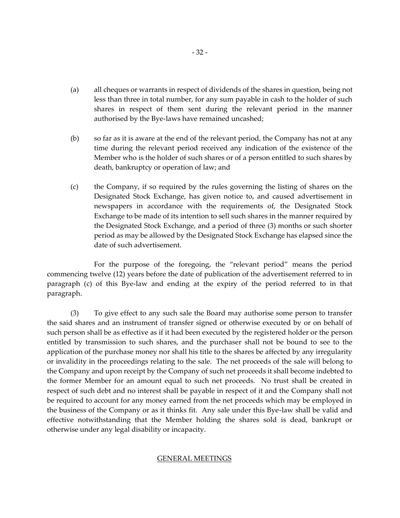- (a) all cheques or warrants in respect of dividends of the shares in question, being not less than three in total number, for any sum payable in cash to the holder of such shares in respect of them sent during the relevant period in the manner authorised by the Bye-laws have remained uncashed;
- (b) so far as it is aware at the end of the relevant period, the Company has not at any time during the relevant period received any indication of the existence of the Member who is the holder of such shares or of a person entitled to such shares by death, bankruptcy or operation of law; and
- (c) the Company, if so required by the rules governing the listing of shares on the Designated Stock Exchange, has given notice to, and caused advertisement in newspapers in accordance with the requirements of, the Designated Stock Exchange to be made of its intention to sell such shares in the manner required by the Designated Stock Exchange, and a period of three (3) months or such shorter period as may be allowed by the Designated Stock Exchange has elapsed since the date of such advertisement.

For the purpose of the foregoing, the "relevant period" means the period commencing twelve (12) years before the date of publication of the advertisement referred to in paragraph (c) of this Bye-law and ending at the expiry of the period referred to in that paragraph.

(3) To give effect to any such sale the Board may authorise some person to transfer the said shares and an instrument of transfer signed or otherwise executed by or on behalf of such person shall be as effective as if it had been executed by the registered holder or the person entitled by transmission to such shares, and the purchaser shall not be bound to see to the application of the purchase money nor shall his title to the shares be affected by any irregularity or invalidity in the proceedings relating to the sale. The net proceeds of the sale will belong to the Company and upon receipt by the Company of such net proceeds it shall become indebted to the former Member for an amount equal to such net proceeds. No trust shall be created in respect of such debt and no interest shall be payable in respect of it and the Company shall not be required to account for any money earned from the net proceeds which may be employed in the business of the Company or as it thinks fit. Any sale under this Bye-law shall be valid and effective notwithstanding that the Member holding the shares sold is dead, bankrupt or otherwise under any legal disability or incapacity.

## GENERAL MEETINGS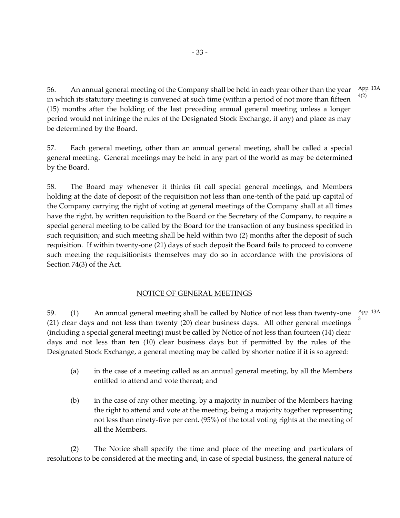56. An annual general meeting of the Company shall be held in each year other than the year in which its statutory meeting is convened at such time (within a period of not more than fifteen (15) months after the holding of the last preceding annual general meeting unless a longer period would not infringe the rules of the Designated Stock Exchange, if any) and place as may be determined by the Board.

57. Each general meeting, other than an annual general meeting, shall be called a special general meeting. General meetings may be held in any part of the world as may be determined by the Board.

58. The Board may whenever it thinks fit call special general meetings, and Members holding at the date of deposit of the requisition not less than one-tenth of the paid up capital of the Company carrying the right of voting at general meetings of the Company shall at all times have the right, by written requisition to the Board or the Secretary of the Company, to require a special general meeting to be called by the Board for the transaction of any business specified in such requisition; and such meeting shall be held within two (2) months after the deposit of such requisition. If within twenty-one (21) days of such deposit the Board fails to proceed to convene such meeting the requisitionists themselves may do so in accordance with the provisions of Section 74(3) of the Act.

# NOTICE OF GENERAL MEETINGS

59. (1) An annual general meeting shall be called by Notice of not less than twenty-one (21) clear days and not less than twenty (20) clear business days. All other general meetings (including a special general meeting) must be called by Notice of not less than fourteen (14) clear days and not less than ten (10) clear business days but if permitted by the rules of the Designated Stock Exchange, a general meeting may be called by shorter notice if it is so agreed: App. 13A 3

- (a) in the case of a meeting called as an annual general meeting, by all the Members entitled to attend and vote thereat; and
- (b) in the case of any other meeting, by a majority in number of the Members having the right to attend and vote at the meeting, being a majority together representing not less than ninety-five per cent. (95%) of the total voting rights at the meeting of all the Members.

(2) The Notice shall specify the time and place of the meeting and particulars of resolutions to be considered at the meeting and, in case of special business, the general nature of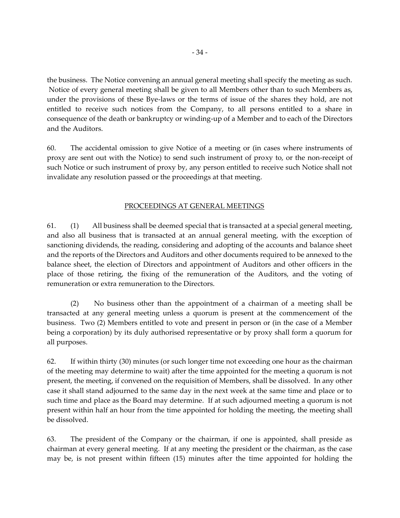the business. The Notice convening an annual general meeting shall specify the meeting as such. Notice of every general meeting shall be given to all Members other than to such Members as, under the provisions of these Bye-laws or the terms of issue of the shares they hold, are not entitled to receive such notices from the Company, to all persons entitled to a share in consequence of the death or bankruptcy or winding-up of a Member and to each of the Directors and the Auditors.

60. The accidental omission to give Notice of a meeting or (in cases where instruments of proxy are sent out with the Notice) to send such instrument of proxy to, or the non-receipt of such Notice or such instrument of proxy by, any person entitled to receive such Notice shall not invalidate any resolution passed or the proceedings at that meeting.

# PROCEEDINGS AT GENERAL MEETINGS

61.  $(1)$  All business shall be deemed special that is transacted at a special general meeting, and also all business that is transacted at an annual general meeting, with the exception of sanctioning dividends, the reading, considering and adopting of the accounts and balance sheet and the reports of the Directors and Auditors and other documents required to be annexed to the balance sheet, the election of Directors and appointment of Auditors and other officers in the place of those retiring, the fixing of the remuneration of the Auditors, and the voting of remuneration or extra remuneration to the Directors.

(2) No business other than the appointment of a chairman of a meeting shall be transacted at any general meeting unless a quorum is present at the commencement of the business. Two (2) Members entitled to vote and present in person or (in the case of a Member being a corporation) by its duly authorised representative or by proxy shall form a quorum for all purposes.

62. If within thirty (30) minutes (or such longer time not exceeding one hour as the chairman of the meeting may determine to wait) after the time appointed for the meeting a quorum is not present, the meeting, if convened on the requisition of Members, shall be dissolved. In any other case it shall stand adjourned to the same day in the next week at the same time and place or to such time and place as the Board may determine. If at such adjourned meeting a quorum is not present within half an hour from the time appointed for holding the meeting, the meeting shall be dissolved.

63. The president of the Company or the chairman, if one is appointed, shall preside as chairman at every general meeting. If at any meeting the president or the chairman, as the case may be, is not present within fifteen (15) minutes after the time appointed for holding the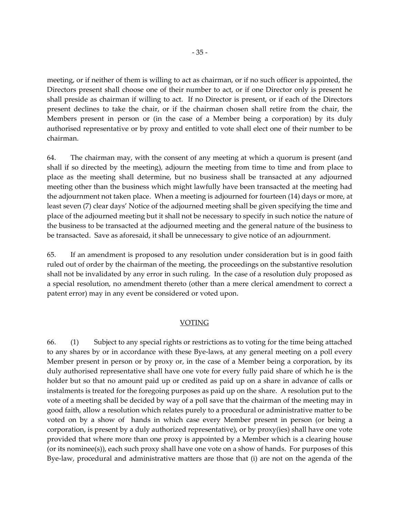meeting, or if neither of them is willing to act as chairman, or if no such officer is appointed, the Directors present shall choose one of their number to act, or if one Director only is present he shall preside as chairman if willing to act. If no Director is present, or if each of the Directors present declines to take the chair, or if the chairman chosen shall retire from the chair, the Members present in person or (in the case of a Member being a corporation) by its duly authorised representative or by proxy and entitled to vote shall elect one of their number to be chairman.

64. The chairman may, with the consent of any meeting at which a quorum is present (and shall if so directed by the meeting), adjourn the meeting from time to time and from place to place as the meeting shall determine, but no business shall be transacted at any adjourned meeting other than the business which might lawfully have been transacted at the meeting had the adjournment not taken place. When a meeting is adjourned for fourteen (14) days or more, at least seven (7) clear days' Notice of the adjourned meeting shall be given specifying the time and place of the adjourned meeting but it shall not be necessary to specify in such notice the nature of the business to be transacted at the adjourned meeting and the general nature of the business to be transacted. Save as aforesaid, it shall be unnecessary to give notice of an adjournment.

65. If an amendment is proposed to any resolution under consideration but is in good faith ruled out of order by the chairman of the meeting, the proceedings on the substantive resolution shall not be invalidated by any error in such ruling. In the case of a resolution duly proposed as a special resolution, no amendment thereto (other than a mere clerical amendment to correct a patent error) may in any event be considered or voted upon.

#### VOTING

66. (1) Subject to any special rights or restrictions as to voting for the time being attached to any shares by or in accordance with these Bye-laws, at any general meeting on a poll every Member present in person or by proxy or, in the case of a Member being a corporation, by its duly authorised representative shall have one vote for every fully paid share of which he is the holder but so that no amount paid up or credited as paid up on a share in advance of calls or instalments is treated for the foregoing purposes as paid up on the share. A resolution put to the vote of a meeting shall be decided by way of a poll save that the chairman of the meeting may in good faith, allow a resolution which relates purely to a procedural or administrative matter to be voted on by a show of hands in which case every Member present in person (or being a corporation, is present by a duly authorized representative), or by proxy(ies) shall have one vote provided that where more than one proxy is appointed by a Member which is a clearing house (or its nominee(s)), each such proxy shall have one vote on a show of hands. For purposes of this Bye-law, procedural and administrative matters are those that (i) are not on the agenda of the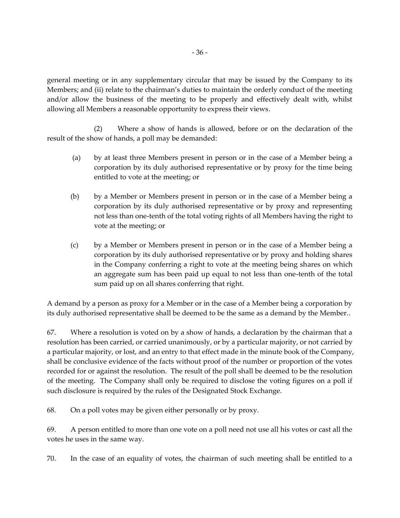general meeting or in any supplementary circular that may be issued by the Company to its Members; and (ii) relate to the chairman's duties to maintain the orderly conduct of the meeting and/or allow the business of the meeting to be properly and effectively dealt with, whilst allowing all Members a reasonable opportunity to express their views.

(2) Where a show of hands is allowed, before or on the declaration of the result of the show of hands, a poll may be demanded:

- (a) by at least three Members present in person or in the case of a Member being a corporation by its duly authorised representative or by proxy for the time being entitled to vote at the meeting; or
- (b) by a Member or Members present in person or in the case of a Member being a corporation by its duly authorised representative or by proxy and representing not less than one-tenth of the total voting rights of all Members having the right to vote at the meeting; or
- (c) by a Member or Members present in person or in the case of a Member being a corporation by its duly authorised representative or by proxy and holding shares in the Company conferring a right to vote at the meeting being shares on which an aggregate sum has been paid up equal to not less than one-tenth of the total sum paid up on all shares conferring that right.

A demand by a person as proxy for a Member or in the case of a Member being a corporation by its duly authorised representative shall be deemed to be the same as a demand by the Member..

67. Where a resolution is voted on by a show of hands, a declaration by the chairman that a resolution has been carried, or carried unanimously, or by a particular majority, or not carried by a particular majority, or lost, and an entry to that effect made in the minute book of the Company, shall be conclusive evidence of the facts without proof of the number or proportion of the votes recorded for or against the resolution. The result of the poll shall be deemed to be the resolution of the meeting. The Company shall only be required to disclose the voting figures on a poll if such disclosure is required by the rules of the Designated Stock Exchange.

68. On a poll votes may be given either personally or by proxy.

69. A person entitled to more than one vote on a poll need not use all his votes or cast all the votes he uses in the same way.

70. In the case of an equality of votes, the chairman of such meeting shall be entitled to a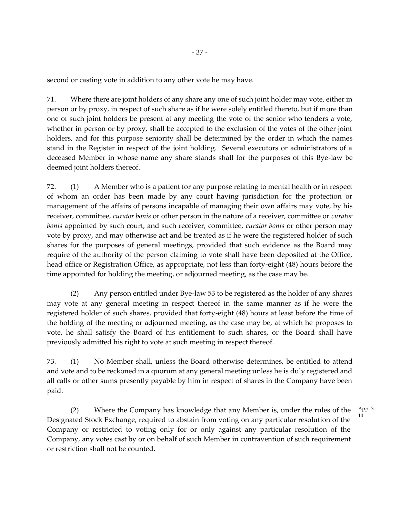second or casting vote in addition to any other vote he may have.

71. Where there are joint holders of any share any one of such joint holder may vote, either in person or by proxy, in respect of such share as if he were solely entitled thereto, but if more than one of such joint holders be present at any meeting the vote of the senior who tenders a vote, whether in person or by proxy, shall be accepted to the exclusion of the votes of the other joint holders, and for this purpose seniority shall be determined by the order in which the names stand in the Register in respect of the joint holding. Several executors or administrators of a deceased Member in whose name any share stands shall for the purposes of this Bye-law be deemed joint holders thereof.

72. (1) A Member who is a patient for any purpose relating to mental health or in respect of whom an order has been made by any court having jurisdiction for the protection or management of the affairs of persons incapable of managing their own affairs may vote, by his receiver, committee, *curator bonis* or other person in the nature of a receiver, committee or *curator bonis* appointed by such court, and such receiver, committee, *curator bonis* or other person may vote by proxy, and may otherwise act and be treated as if he were the registered holder of such shares for the purposes of general meetings, provided that such evidence as the Board may require of the authority of the person claiming to vote shall have been deposited at the Office, head office or Registration Office, as appropriate, not less than forty-eight (48) hours before the time appointed for holding the meeting, or adjourned meeting, as the case may be.

(2) Any person entitled under Bye-law 53 to be registered as the holder of any shares may vote at any general meeting in respect thereof in the same manner as if he were the registered holder of such shares, provided that forty-eight (48) hours at least before the time of the holding of the meeting or adjourned meeting, as the case may be, at which he proposes to vote, he shall satisfy the Board of his entitlement to such shares, or the Board shall have previously admitted his right to vote at such meeting in respect thereof.

73. (1) No Member shall, unless the Board otherwise determines, be entitled to attend and vote and to be reckoned in a quorum at any general meeting unless he is duly registered and all calls or other sums presently payable by him in respect of shares in the Company have been paid.

(2) Where the Company has knowledge that any Member is, under the rules of the Designated Stock Exchange, required to abstain from voting on any particular resolution of the Company or restricted to voting only for or only against any particular resolution of the Company, any votes cast by or on behalf of such Member in contravention of such requirement or restriction shall not be counted. App. 3 14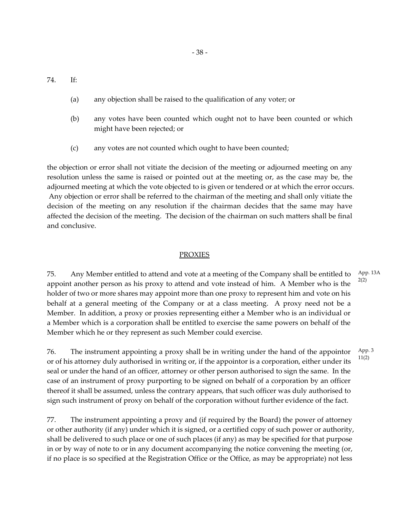74. If:

- (a) any objection shall be raised to the qualification of any voter; or
- (b) any votes have been counted which ought not to have been counted or which might have been rejected; or
- (c) any votes are not counted which ought to have been counted;

the objection or error shall not vitiate the decision of the meeting or adjourned meeting on any resolution unless the same is raised or pointed out at the meeting or, as the case may be, the adjourned meeting at which the vote objected to is given or tendered or at which the error occurs. Any objection or error shall be referred to the chairman of the meeting and shall only vitiate the decision of the meeting on any resolution if the chairman decides that the same may have affected the decision of the meeting. The decision of the chairman on such matters shall be final and conclusive.

### PROXIES

75. Any Member entitled to attend and vote at a meeting of the Company shall be entitled to appoint another person as his proxy to attend and vote instead of him. A Member who is the holder of two or more shares may appoint more than one proxy to represent him and vote on his behalf at a general meeting of the Company or at a class meeting. A proxy need not be a Member. In addition, a proxy or proxies representing either a Member who is an individual or a Member which is a corporation shall be entitled to exercise the same powers on behalf of the Member which he or they represent as such Member could exercise. 2(2)

76. The instrument appointing a proxy shall be in writing under the hand of the appointor or of his attorney duly authorised in writing or, if the appointor is a corporation, either under its seal or under the hand of an officer, attorney or other person authorised to sign the same. In the case of an instrument of proxy purporting to be signed on behalf of a corporation by an officer thereof it shall be assumed, unless the contrary appears, that such officer was duly authorised to sign such instrument of proxy on behalf of the corporation without further evidence of the fact. App. 3 11(2)

77. The instrument appointing a proxy and (if required by the Board) the power of attorney or other authority (if any) under which it is signed, or a certified copy of such power or authority, shall be delivered to such place or one of such places (if any) as may be specified for that purpose in or by way of note to or in any document accompanying the notice convening the meeting (or, if no place is so specified at the Registration Office or the Office, as may be appropriate) not less

App. 13A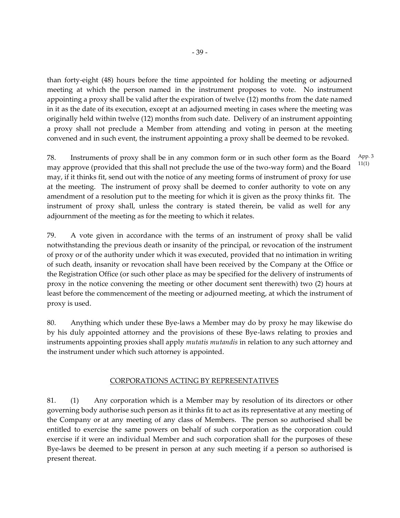than forty-eight (48) hours before the time appointed for holding the meeting or adjourned meeting at which the person named in the instrument proposes to vote. No instrument appointing a proxy shall be valid after the expiration of twelve (12) months from the date named in it as the date of its execution, except at an adjourned meeting in cases where the meeting was originally held within twelve (12) months from such date. Delivery of an instrument appointing a proxy shall not preclude a Member from attending and voting in person at the meeting convened and in such event, the instrument appointing a proxy shall be deemed to be revoked.

78. Instruments of proxy shall be in any common form or in such other form as the Board may approve (provided that this shall not preclude the use of the two-way form) and the Board may, if it thinks fit, send out with the notice of any meeting forms of instrument of proxy for use at the meeting. The instrument of proxy shall be deemed to confer authority to vote on any amendment of a resolution put to the meeting for which it is given as the proxy thinks fit. The instrument of proxy shall, unless the contrary is stated therein, be valid as well for any adjournment of the meeting as for the meeting to which it relates.

79. A vote given in accordance with the terms of an instrument of proxy shall be valid notwithstanding the previous death or insanity of the principal, or revocation of the instrument of proxy or of the authority under which it was executed, provided that no intimation in writing of such death, insanity or revocation shall have been received by the Company at the Office or the Registration Office (or such other place as may be specified for the delivery of instruments of proxy in the notice convening the meeting or other document sent therewith) two (2) hours at least before the commencement of the meeting or adjourned meeting, at which the instrument of proxy is used.

80. Anything which under these Bye-laws a Member may do by proxy he may likewise do by his duly appointed attorney and the provisions of these Bye-laws relating to proxies and instruments appointing proxies shall apply *mutatis mutandis* in relation to any such attorney and the instrument under which such attorney is appointed.

# CORPORATIONS ACTING BY REPRESENTATIVES

81. (1) Any corporation which is a Member may by resolution of its directors or other governing body authorise such person as it thinks fit to act as its representative at any meeting of the Company or at any meeting of any class of Members. The person so authorised shall be entitled to exercise the same powers on behalf of such corporation as the corporation could exercise if it were an individual Member and such corporation shall for the purposes of these Bye-laws be deemed to be present in person at any such meeting if a person so authorised is present thereat.

App. 3 11(1)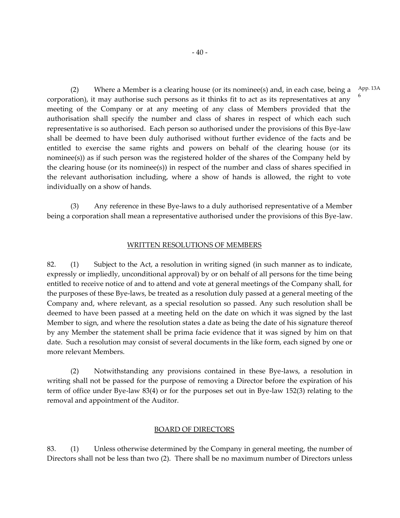(2) Where a Member is a clearing house (or its nominee(s) and, in each case, being a corporation), it may authorise such persons as it thinks fit to act as its representatives at any meeting of the Company or at any meeting of any class of Members provided that the authorisation shall specify the number and class of shares in respect of which each such representative is so authorised. Each person so authorised under the provisions of this Bye-law shall be deemed to have been duly authorised without further evidence of the facts and be entitled to exercise the same rights and powers on behalf of the clearing house (or its nominee(s)) as if such person was the registered holder of the shares of the Company held by the clearing house (or its nominee(s)) in respect of the number and class of shares specified in the relevant authorisation including, where a show of hands is allowed, the right to vote individually on a show of hands.

(3) Any reference in these Bye-laws to a duly authorised representative of a Member being a corporation shall mean a representative authorised under the provisions of this Bye-law.

#### WRITTEN RESOLUTIONS OF MEMBERS

82. (1) Subject to the Act, a resolution in writing signed (in such manner as to indicate, expressly or impliedly, unconditional approval) by or on behalf of all persons for the time being entitled to receive notice of and to attend and vote at general meetings of the Company shall, for the purposes of these Bye-laws, be treated as a resolution duly passed at a general meeting of the Company and, where relevant, as a special resolution so passed. Any such resolution shall be deemed to have been passed at a meeting held on the date on which it was signed by the last Member to sign, and where the resolution states a date as being the date of his signature thereof by any Member the statement shall be prima facie evidence that it was signed by him on that date. Such a resolution may consist of several documents in the like form, each signed by one or more relevant Members.

(2) Notwithstanding any provisions contained in these Bye-laws, a resolution in writing shall not be passed for the purpose of removing a Director before the expiration of his term of office under Bye-law 83(4) or for the purposes set out in Bye-law 152(3) relating to the removal and appointment of the Auditor.

#### BOARD OF DIRECTORS

83. (1) Unless otherwise determined by the Company in general meeting, the number of Directors shall not be less than two (2). There shall be no maximum number of Directors unless

App. 13A

6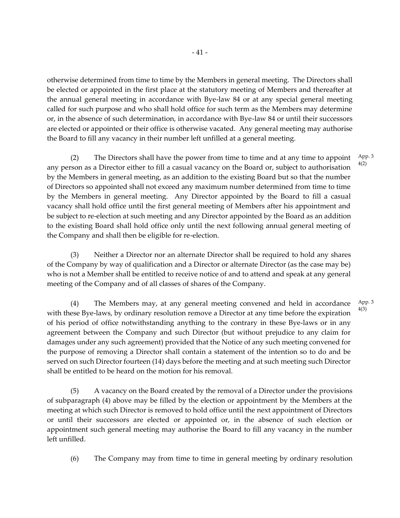otherwise determined from time to time by the Members in general meeting. The Directors shall be elected or appointed in the first place at the statutory meeting of Members and thereafter at the annual general meeting in accordance with Bye-law 84 or at any special general meeting called for such purpose and who shall hold office for such term as the Members may determine or, in the absence of such determination, in accordance with Bye-law 84 or until their successors are elected or appointed or their office is otherwise vacated. Any general meeting may authorise the Board to fill any vacancy in their number left unfilled at a general meeting.

(2) The Directors shall have the power from time to time and at any time to appoint any person as a Director either to fill a casual vacancy on the Board or, subject to authorisation by the Members in general meeting, as an addition to the existing Board but so that the number of Directors so appointed shall not exceed any maximum number determined from time to time by the Members in general meeting. Any Director appointed by the Board to fill a casual vacancy shall hold office until the first general meeting of Members after his appointment and be subject to re-election at such meeting and any Director appointed by the Board as an addition to the existing Board shall hold office only until the next following annual general meeting of the Company and shall then be eligible for re-election.

(3) Neither a Director nor an alternate Director shall be required to hold any shares of the Company by way of qualification and a Director or alternate Director (as the case may be) who is not a Member shall be entitled to receive notice of and to attend and speak at any general meeting of the Company and of all classes of shares of the Company.

(4) The Members may, at any general meeting convened and held in accordance with these Bye-laws, by ordinary resolution remove a Director at any time before the expiration of his period of office notwithstanding anything to the contrary in these Bye-laws or in any agreement between the Company and such Director (but without prejudice to any claim for damages under any such agreement) provided that the Notice of any such meeting convened for the purpose of removing a Director shall contain a statement of the intention so to do and be served on such Director fourteen (14) days before the meeting and at such meeting such Director shall be entitled to be heard on the motion for his removal.

(5) A vacancy on the Board created by the removal of a Director under the provisions of subparagraph (4) above may be filled by the election or appointment by the Members at the meeting at which such Director is removed to hold office until the next appointment of Directors or until their successors are elected or appointed or, in the absence of such election or appointment such general meeting may authorise the Board to fill any vacancy in the number left unfilled.

(6) The Company may from time to time in general meeting by ordinary resolution

App. 3 4(2)

App. 3 4(3)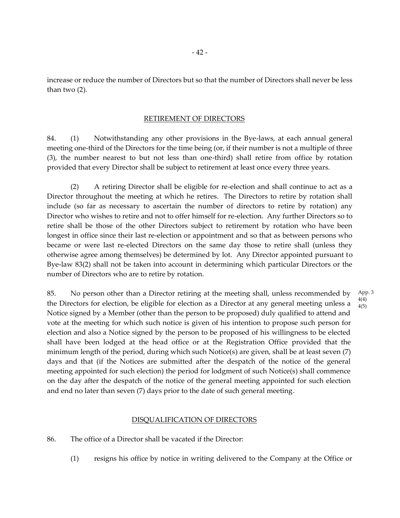increase or reduce the number of Directors but so that the number of Directors shall never be less than two (2).

#### RETIREMENT OF DIRECTORS

84. (1) Notwithstanding any other provisions in the Bye-laws, at each annual general meeting one-third of the Directors for the time being (or, if their number is not a multiple of three (3), the number nearest to but not less than one-third) shall retire from office by rotation provided that every Director shall be subject to retirement at least once every three years.

(2) A retiring Director shall be eligible for re-election and shall continue to act as a Director throughout the meeting at which he retires. The Directors to retire by rotation shall include (so far as necessary to ascertain the number of directors to retire by rotation) any Director who wishes to retire and not to offer himself for re-election. Any further Directors so to retire shall be those of the other Directors subject to retirement by rotation who have been longest in office since their last re-election or appointment and so that as between persons who became or were last re-elected Directors on the same day those to retire shall (unless they otherwise agree among themselves) be determined by lot. Any Director appointed pursuant to Bye-law 83(2) shall not be taken into account in determining which particular Directors or the number of Directors who are to retire by rotation.

85. No person other than a Director retiring at the meeting shall, unless recommended by the Directors for election, be eligible for election as a Director at any general meeting unless a Notice signed by a Member (other than the person to be proposed) duly qualified to attend and vote at the meeting for which such notice is given of his intention to propose such person for election and also a Notice signed by the person to be proposed of his willingness to be elected shall have been lodged at the head office or at the Registration Office provided that the minimum length of the period, during which such Notice(s) are given, shall be at least seven (7) days and that (if the Notices are submitted after the despatch of the notice of the general meeting appointed for such election) the period for lodgment of such Notice(s) shall commence on the day after the despatch of the notice of the general meeting appointed for such election and end no later than seven (7) days prior to the date of such general meeting. App. 3 4(4) 4(5)

#### DISQUALIFICATION OF DIRECTORS

- 86. The office of a Director shall be vacated if the Director:
	- (1) resigns his office by notice in writing delivered to the Company at the Office or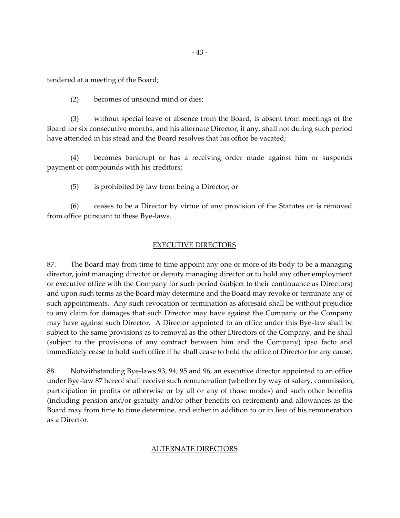- 43 -

tendered at a meeting of the Board;

(2) becomes of unsound mind or dies;

(3) without special leave of absence from the Board, is absent from meetings of the Board for six consecutive months, and his alternate Director, if any, shall not during such period have attended in his stead and the Board resolves that his office be vacated;

(4) becomes bankrupt or has a receiving order made against him or suspends payment or compounds with his creditors;

(5) is prohibited by law from being a Director; or

(6) ceases to be a Director by virtue of any provision of the Statutes or is removed from office pursuant to these Bye-laws.

# EXECUTIVE DIRECTORS

87. The Board may from time to time appoint any one or more of its body to be a managing director, joint managing director or deputy managing director or to hold any other employment or executive office with the Company for such period (subject to their continuance as Directors) and upon such terms as the Board may determine and the Board may revoke or terminate any of such appointments. Any such revocation or termination as aforesaid shall be without prejudice to any claim for damages that such Director may have against the Company or the Company may have against such Director. A Director appointed to an office under this Bye-law shall be subject to the same provisions as to removal as the other Directors of the Company, and he shall (subject to the provisions of any contract between him and the Company) ipso facto and immediately cease to hold such office if he shall cease to hold the office of Director for any cause.

88. Notwithstanding Bye-laws 93, 94, 95 and 96, an executive director appointed to an office under Bye-law 87 hereof shall receive such remuneration (whether by way of salary, commission, participation in profits or otherwise or by all or any of those modes) and such other benefits (including pension and/or gratuity and/or other benefits on retirement) and allowances as the Board may from time to time determine, and either in addition to or in lieu of his remuneration as a Director.

# ALTERNATE DIRECTORS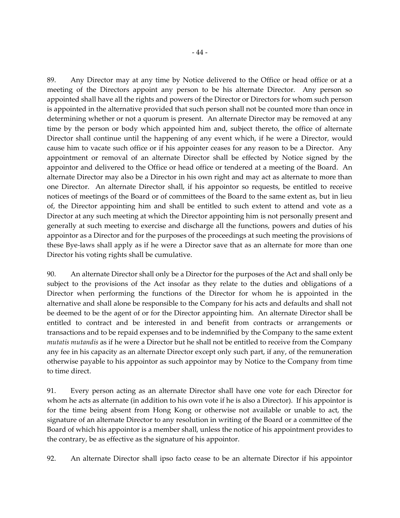89. Any Director may at any time by Notice delivered to the Office or head office or at a meeting of the Directors appoint any person to be his alternate Director. Any person so appointed shall have all the rights and powers of the Director or Directors for whom such person is appointed in the alternative provided that such person shall not be counted more than once in determining whether or not a quorum is present. An alternate Director may be removed at any time by the person or body which appointed him and, subject thereto, the office of alternate Director shall continue until the happening of any event which, if he were a Director, would cause him to vacate such office or if his appointer ceases for any reason to be a Director. Any appointment or removal of an alternate Director shall be effected by Notice signed by the appointor and delivered to the Office or head office or tendered at a meeting of the Board. An alternate Director may also be a Director in his own right and may act as alternate to more than one Director. An alternate Director shall, if his appointor so requests, be entitled to receive notices of meetings of the Board or of committees of the Board to the same extent as, but in lieu of, the Director appointing him and shall be entitled to such extent to attend and vote as a Director at any such meeting at which the Director appointing him is not personally present and generally at such meeting to exercise and discharge all the functions, powers and duties of his appointor as a Director and for the purposes of the proceedings at such meeting the provisions of these Bye-laws shall apply as if he were a Director save that as an alternate for more than one Director his voting rights shall be cumulative.

90. An alternate Director shall only be a Director for the purposes of the Act and shall only be subject to the provisions of the Act insofar as they relate to the duties and obligations of a Director when performing the functions of the Director for whom he is appointed in the alternative and shall alone be responsible to the Company for his acts and defaults and shall not be deemed to be the agent of or for the Director appointing him. An alternate Director shall be entitled to contract and be interested in and benefit from contracts or arrangements or transactions and to be repaid expenses and to be indemnified by the Company to the same extent *mutatis mutandis* as if he were a Director but he shall not be entitled to receive from the Company any fee in his capacity as an alternate Director except only such part, if any, of the remuneration otherwise payable to his appointor as such appointor may by Notice to the Company from time to time direct.

91. Every person acting as an alternate Director shall have one vote for each Director for whom he acts as alternate (in addition to his own vote if he is also a Director). If his appointor is for the time being absent from Hong Kong or otherwise not available or unable to act, the signature of an alternate Director to any resolution in writing of the Board or a committee of the Board of which his appointor is a member shall, unless the notice of his appointment provides to the contrary, be as effective as the signature of his appointor.

92. An alternate Director shall ipso facto cease to be an alternate Director if his appointor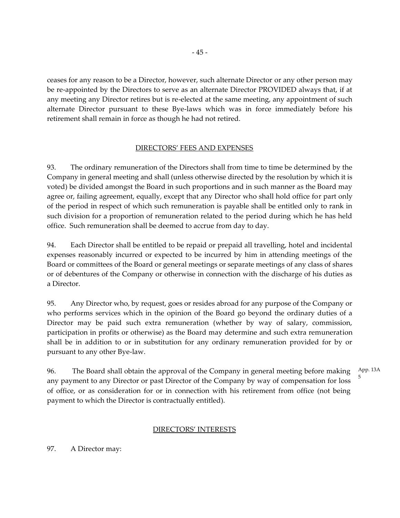ceases for any reason to be a Director, however, such alternate Director or any other person may be re-appointed by the Directors to serve as an alternate Director PROVIDED always that, if at any meeting any Director retires but is re-elected at the same meeting, any appointment of such alternate Director pursuant to these Bye-laws which was in force immediately before his retirement shall remain in force as though he had not retired.

# DIRECTORS' FEES AND EXPENSES

93. The ordinary remuneration of the Directors shall from time to time be determined by the Company in general meeting and shall (unless otherwise directed by the resolution by which it is voted) be divided amongst the Board in such proportions and in such manner as the Board may agree or, failing agreement, equally, except that any Director who shall hold office for part only of the period in respect of which such remuneration is payable shall be entitled only to rank in such division for a proportion of remuneration related to the period during which he has held office. Such remuneration shall be deemed to accrue from day to day.

94. Each Director shall be entitled to be repaid or prepaid all travelling, hotel and incidental expenses reasonably incurred or expected to be incurred by him in attending meetings of the Board or committees of the Board or general meetings or separate meetings of any class of shares or of debentures of the Company or otherwise in connection with the discharge of his duties as a Director.

95. Any Director who, by request, goes or resides abroad for any purpose of the Company or who performs services which in the opinion of the Board go beyond the ordinary duties of a Director may be paid such extra remuneration (whether by way of salary, commission, participation in profits or otherwise) as the Board may determine and such extra remuneration shall be in addition to or in substitution for any ordinary remuneration provided for by or pursuant to any other Bye-law.

96. The Board shall obtain the approval of the Company in general meeting before making any payment to any Director or past Director of the Company by way of compensation for loss of office, or as consideration for or in connection with his retirement from office (not being payment to which the Director is contractually entitled). App. 13A 5

# DIRECTORS' INTERESTS

97. A Director may: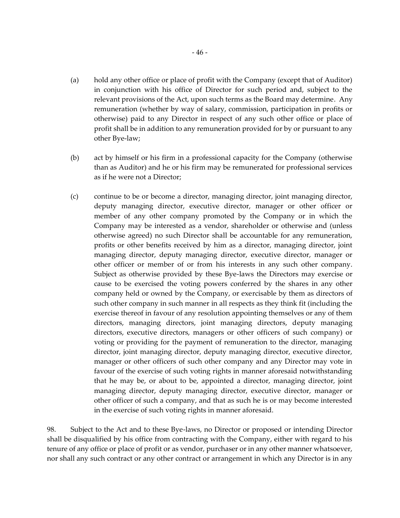- (a) hold any other office or place of profit with the Company (except that of Auditor) in conjunction with his office of Director for such period and, subject to the relevant provisions of the Act, upon such terms as the Board may determine. Any remuneration (whether by way of salary, commission, participation in profits or otherwise) paid to any Director in respect of any such other office or place of profit shall be in addition to any remuneration provided for by or pursuant to any other Bye-law;
- (b) act by himself or his firm in a professional capacity for the Company (otherwise than as Auditor) and he or his firm may be remunerated for professional services as if he were not a Director;
- (c) continue to be or become a director, managing director, joint managing director, deputy managing director, executive director, manager or other officer or member of any other company promoted by the Company or in which the Company may be interested as a vendor, shareholder or otherwise and (unless otherwise agreed) no such Director shall be accountable for any remuneration, profits or other benefits received by him as a director, managing director, joint managing director, deputy managing director, executive director, manager or other officer or member of or from his interests in any such other company. Subject as otherwise provided by these Bye-laws the Directors may exercise or cause to be exercised the voting powers conferred by the shares in any other company held or owned by the Company, or exercisable by them as directors of such other company in such manner in all respects as they think fit (including the exercise thereof in favour of any resolution appointing themselves or any of them directors, managing directors, joint managing directors, deputy managing directors, executive directors, managers or other officers of such company) or voting or providing for the payment of remuneration to the director, managing director, joint managing director, deputy managing director, executive director, manager or other officers of such other company and any Director may vote in favour of the exercise of such voting rights in manner aforesaid notwithstanding that he may be, or about to be, appointed a director, managing director, joint managing director, deputy managing director, executive director, manager or other officer of such a company, and that as such he is or may become interested in the exercise of such voting rights in manner aforesaid.

98. Subject to the Act and to these Bye-laws, no Director or proposed or intending Director shall be disqualified by his office from contracting with the Company, either with regard to his tenure of any office or place of profit or as vendor, purchaser or in any other manner whatsoever, nor shall any such contract or any other contract or arrangement in which any Director is in any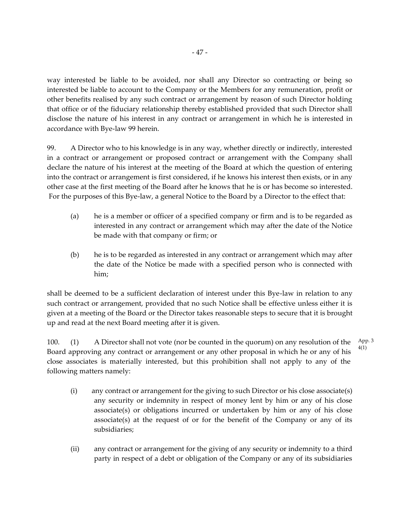way interested be liable to be avoided, nor shall any Director so contracting or being so interested be liable to account to the Company or the Members for any remuneration, profit or other benefits realised by any such contract or arrangement by reason of such Director holding that office or of the fiduciary relationship thereby established provided that such Director shall disclose the nature of his interest in any contract or arrangement in which he is interested in accordance with Bye-law 99 herein.

99. A Director who to his knowledge is in any way, whether directly or indirectly, interested in a contract or arrangement or proposed contract or arrangement with the Company shall declare the nature of his interest at the meeting of the Board at which the question of entering into the contract or arrangement is first considered, if he knows his interest then exists, or in any other case at the first meeting of the Board after he knows that he is or has become so interested. For the purposes of this Bye-law, a general Notice to the Board by a Director to the effect that:

- (a) he is a member or officer of a specified company or firm and is to be regarded as interested in any contract or arrangement which may after the date of the Notice be made with that company or firm; or
- (b) he is to be regarded as interested in any contract or arrangement which may after the date of the Notice be made with a specified person who is connected with him;

shall be deemed to be a sufficient declaration of interest under this Bye-law in relation to any such contract or arrangement, provided that no such Notice shall be effective unless either it is given at a meeting of the Board or the Director takes reasonable steps to secure that it is brought up and read at the next Board meeting after it is given.

100. (1) A Director shall not vote (nor be counted in the quorum) on any resolution of the Board approving any contract or arrangement or any other proposal in which he or any of his close associates is materially interested, but this prohibition shall not apply to any of the following matters namely: App. 3 4(1)

- (i) any contract or arrangement for the giving to such Director or his close associate(s) any security or indemnity in respect of money lent by him or any of his close associate(s) or obligations incurred or undertaken by him or any of his close associate(s) at the request of or for the benefit of the Company or any of its subsidiaries;
- (ii) any contract or arrangement for the giving of any security or indemnity to a third party in respect of a debt or obligation of the Company or any of its subsidiaries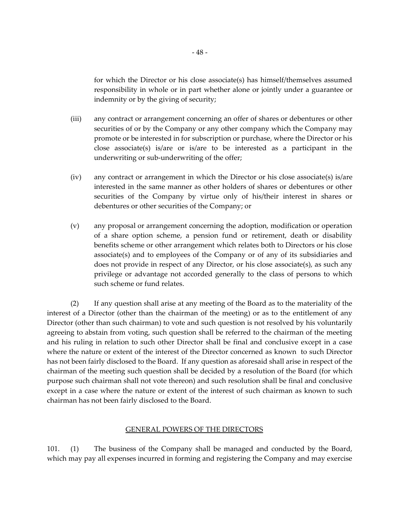for which the Director or his close associate(s) has himself/themselves assumed responsibility in whole or in part whether alone or jointly under a guarantee or indemnity or by the giving of security;

- (iii) any contract or arrangement concerning an offer of shares or debentures or other securities of or by the Company or any other company which the Company may promote or be interested in for subscription or purchase, where the Director or his close associate(s) is/are or is/are to be interested as a participant in the underwriting or sub-underwriting of the offer;
- (iv) any contract or arrangement in which the Director or his close associate(s) is/are interested in the same manner as other holders of shares or debentures or other securities of the Company by virtue only of his/their interest in shares or debentures or other securities of the Company; or
- (v) any proposal or arrangement concerning the adoption, modification or operation of a share option scheme, a pension fund or retirement, death or disability benefits scheme or other arrangement which relates both to Directors or his close associate(s) and to employees of the Company or of any of its subsidiaries and does not provide in respect of any Director, or his close associate(s), as such any privilege or advantage not accorded generally to the class of persons to which such scheme or fund relates.

(2) If any question shall arise at any meeting of the Board as to the materiality of the interest of a Director (other than the chairman of the meeting) or as to the entitlement of any Director (other than such chairman) to vote and such question is not resolved by his voluntarily agreeing to abstain from voting, such question shall be referred to the chairman of the meeting and his ruling in relation to such other Director shall be final and conclusive except in a case where the nature or extent of the interest of the Director concerned as known to such Director has not been fairly disclosed to the Board. If any question as aforesaid shall arise in respect of the chairman of the meeting such question shall be decided by a resolution of the Board (for which purpose such chairman shall not vote thereon) and such resolution shall be final and conclusive except in a case where the nature or extent of the interest of such chairman as known to such chairman has not been fairly disclosed to the Board.

## GENERAL POWERS OF THE DIRECTORS

101. (1) The business of the Company shall be managed and conducted by the Board, which may pay all expenses incurred in forming and registering the Company and may exercise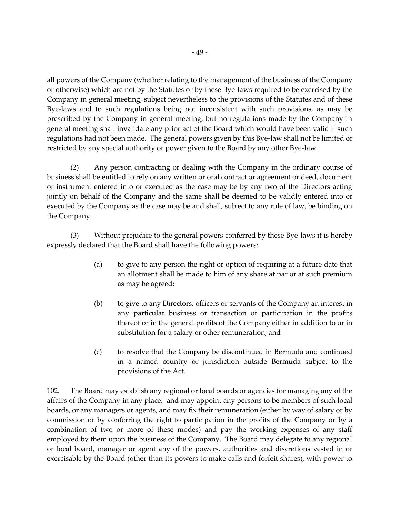all powers of the Company (whether relating to the management of the business of the Company or otherwise) which are not by the Statutes or by these Bye-laws required to be exercised by the Company in general meeting, subject nevertheless to the provisions of the Statutes and of these Bye-laws and to such regulations being not inconsistent with such provisions, as may be prescribed by the Company in general meeting, but no regulations made by the Company in general meeting shall invalidate any prior act of the Board which would have been valid if such regulations had not been made. The general powers given by this Bye-law shall not be limited or restricted by any special authority or power given to the Board by any other Bye-law.

(2) Any person contracting or dealing with the Company in the ordinary course of business shall be entitled to rely on any written or oral contract or agreement or deed, document or instrument entered into or executed as the case may be by any two of the Directors acting jointly on behalf of the Company and the same shall be deemed to be validly entered into or executed by the Company as the case may be and shall, subject to any rule of law, be binding on the Company.

(3) Without prejudice to the general powers conferred by these Bye-laws it is hereby expressly declared that the Board shall have the following powers:

- (a) to give to any person the right or option of requiring at a future date that an allotment shall be made to him of any share at par or at such premium as may be agreed;
- (b) to give to any Directors, officers or servants of the Company an interest in any particular business or transaction or participation in the profits thereof or in the general profits of the Company either in addition to or in substitution for a salary or other remuneration; and
- (c) to resolve that the Company be discontinued in Bermuda and continued in a named country or jurisdiction outside Bermuda subject to the provisions of the Act.

102. The Board may establish any regional or local boards or agencies for managing any of the affairs of the Company in any place, and may appoint any persons to be members of such local boards, or any managers or agents, and may fix their remuneration (either by way of salary or by commission or by conferring the right to participation in the profits of the Company or by a combination of two or more of these modes) and pay the working expenses of any staff employed by them upon the business of the Company. The Board may delegate to any regional or local board, manager or agent any of the powers, authorities and discretions vested in or exercisable by the Board (other than its powers to make calls and forfeit shares), with power to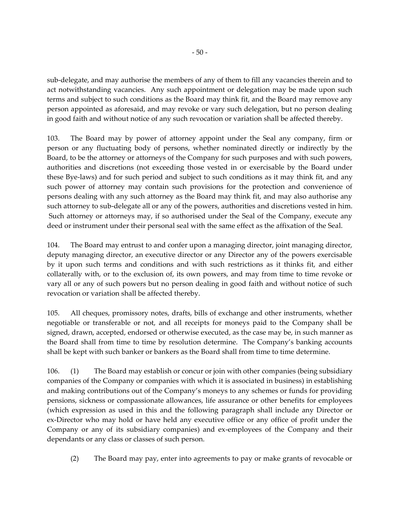sub-delegate, and may authorise the members of any of them to fill any vacancies therein and to act notwithstanding vacancies. Any such appointment or delegation may be made upon such terms and subject to such conditions as the Board may think fit, and the Board may remove any person appointed as aforesaid, and may revoke or vary such delegation, but no person dealing in good faith and without notice of any such revocation or variation shall be affected thereby.

103. The Board may by power of attorney appoint under the Seal any company, firm or person or any fluctuating body of persons, whether nominated directly or indirectly by the Board, to be the attorney or attorneys of the Company for such purposes and with such powers, authorities and discretions (not exceeding those vested in or exercisable by the Board under these Bye-laws) and for such period and subject to such conditions as it may think fit, and any such power of attorney may contain such provisions for the protection and convenience of persons dealing with any such attorney as the Board may think fit, and may also authorise any such attorney to sub-delegate all or any of the powers, authorities and discretions vested in him. Such attorney or attorneys may, if so authorised under the Seal of the Company, execute any deed or instrument under their personal seal with the same effect as the affixation of the Seal.

104. The Board may entrust to and confer upon a managing director, joint managing director, deputy managing director, an executive director or any Director any of the powers exercisable by it upon such terms and conditions and with such restrictions as it thinks fit, and either collaterally with, or to the exclusion of, its own powers, and may from time to time revoke or vary all or any of such powers but no person dealing in good faith and without notice of such revocation or variation shall be affected thereby.

105. All cheques, promissory notes, drafts, bills of exchange and other instruments, whether negotiable or transferable or not, and all receipts for moneys paid to the Company shall be signed, drawn, accepted, endorsed or otherwise executed, as the case may be, in such manner as the Board shall from time to time by resolution determine. The Company's banking accounts shall be kept with such banker or bankers as the Board shall from time to time determine.

106. (1) The Board may establish or concur or join with other companies (being subsidiary companies of the Company or companies with which it is associated in business) in establishing and making contributions out of the Company's moneys to any schemes or funds for providing pensions, sickness or compassionate allowances, life assurance or other benefits for employees (which expression as used in this and the following paragraph shall include any Director or ex-Director who may hold or have held any executive office or any office of profit under the Company or any of its subsidiary companies) and ex-employees of the Company and their dependants or any class or classes of such person.

(2) The Board may pay, enter into agreements to pay or make grants of revocable or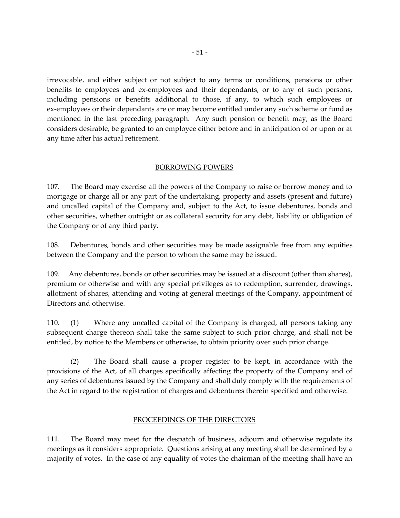irrevocable, and either subject or not subject to any terms or conditions, pensions or other benefits to employees and ex-employees and their dependants, or to any of such persons, including pensions or benefits additional to those, if any, to which such employees or ex-employees or their dependants are or may become entitled under any such scheme or fund as mentioned in the last preceding paragraph. Any such pension or benefit may, as the Board considers desirable, be granted to an employee either before and in anticipation of or upon or at any time after his actual retirement.

# BORROWING POWERS

107. The Board may exercise all the powers of the Company to raise or borrow money and to mortgage or charge all or any part of the undertaking, property and assets (present and future) and uncalled capital of the Company and, subject to the Act, to issue debentures, bonds and other securities, whether outright or as collateral security for any debt, liability or obligation of the Company or of any third party.

108. Debentures, bonds and other securities may be made assignable free from any equities between the Company and the person to whom the same may be issued.

109. Any debentures, bonds or other securities may be issued at a discount (other than shares), premium or otherwise and with any special privileges as to redemption, surrender, drawings, allotment of shares, attending and voting at general meetings of the Company, appointment of Directors and otherwise.

110. (1) Where any uncalled capital of the Company is charged, all persons taking any subsequent charge thereon shall take the same subject to such prior charge, and shall not be entitled, by notice to the Members or otherwise, to obtain priority over such prior charge.

(2) The Board shall cause a proper register to be kept, in accordance with the provisions of the Act, of all charges specifically affecting the property of the Company and of any series of debentures issued by the Company and shall duly comply with the requirements of the Act in regard to the registration of charges and debentures therein specified and otherwise.

## PROCEEDINGS OF THE DIRECTORS

111. The Board may meet for the despatch of business, adjourn and otherwise regulate its meetings as it considers appropriate. Questions arising at any meeting shall be determined by a majority of votes. In the case of any equality of votes the chairman of the meeting shall have an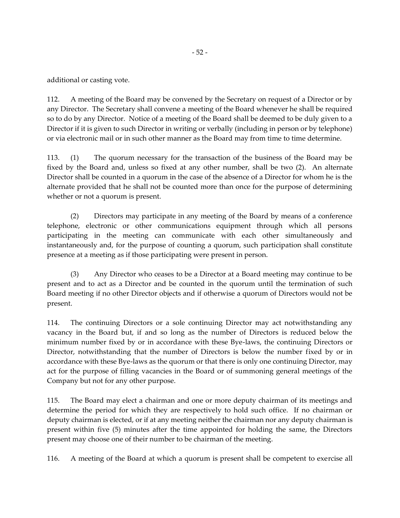additional or casting vote.

112. A meeting of the Board may be convened by the Secretary on request of a Director or by any Director. The Secretary shall convene a meeting of the Board whenever he shall be required so to do by any Director. Notice of a meeting of the Board shall be deemed to be duly given to a Director if it is given to such Director in writing or verbally (including in person or by telephone) or via electronic mail or in such other manner as the Board may from time to time determine.

113. (1) The quorum necessary for the transaction of the business of the Board may be fixed by the Board and, unless so fixed at any other number, shall be two (2). An alternate Director shall be counted in a quorum in the case of the absence of a Director for whom he is the alternate provided that he shall not be counted more than once for the purpose of determining whether or not a quorum is present.

(2) Directors may participate in any meeting of the Board by means of a conference telephone, electronic or other communications equipment through which all persons participating in the meeting can communicate with each other simultaneously and instantaneously and, for the purpose of counting a quorum, such participation shall constitute presence at a meeting as if those participating were present in person.

(3) Any Director who ceases to be a Director at a Board meeting may continue to be present and to act as a Director and be counted in the quorum until the termination of such Board meeting if no other Director objects and if otherwise a quorum of Directors would not be present.

114. The continuing Directors or a sole continuing Director may act notwithstanding any vacancy in the Board but, if and so long as the number of Directors is reduced below the minimum number fixed by or in accordance with these Bye-laws, the continuing Directors or Director, notwithstanding that the number of Directors is below the number fixed by or in accordance with these Bye-laws as the quorum or that there is only one continuing Director, may act for the purpose of filling vacancies in the Board or of summoning general meetings of the Company but not for any other purpose.

115. The Board may elect a chairman and one or more deputy chairman of its meetings and determine the period for which they are respectively to hold such office. If no chairman or deputy chairman is elected, or if at any meeting neither the chairman nor any deputy chairman is present within five (5) minutes after the time appointed for holding the same, the Directors present may choose one of their number to be chairman of the meeting.

116. A meeting of the Board at which a quorum is present shall be competent to exercise all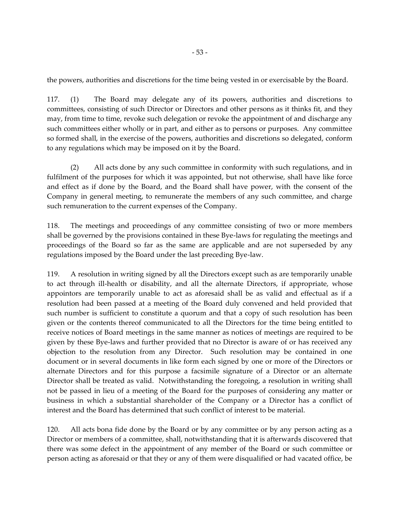the powers, authorities and discretions for the time being vested in or exercisable by the Board.

117. (1) The Board may delegate any of its powers, authorities and discretions to committees, consisting of such Director or Directors and other persons as it thinks fit, and they may, from time to time, revoke such delegation or revoke the appointment of and discharge any such committees either wholly or in part, and either as to persons or purposes. Any committee so formed shall, in the exercise of the powers, authorities and discretions so delegated, conform to any regulations which may be imposed on it by the Board.

(2) All acts done by any such committee in conformity with such regulations, and in fulfilment of the purposes for which it was appointed, but not otherwise, shall have like force and effect as if done by the Board, and the Board shall have power, with the consent of the Company in general meeting, to remunerate the members of any such committee, and charge such remuneration to the current expenses of the Company.

118. The meetings and proceedings of any committee consisting of two or more members shall be governed by the provisions contained in these Bye-laws for regulating the meetings and proceedings of the Board so far as the same are applicable and are not superseded by any regulations imposed by the Board under the last preceding Bye-law.

119. A resolution in writing signed by all the Directors except such as are temporarily unable to act through ill-health or disability, and all the alternate Directors, if appropriate, whose appointors are temporarily unable to act as aforesaid shall be as valid and effectual as if a resolution had been passed at a meeting of the Board duly convened and held provided that such number is sufficient to constitute a quorum and that a copy of such resolution has been given or the contents thereof communicated to all the Directors for the time being entitled to receive notices of Board meetings in the same manner as notices of meetings are required to be given by these Bye-laws and further provided that no Director is aware of or has received any objection to the resolution from any Director. Such resolution may be contained in one document or in several documents in like form each signed by one or more of the Directors or alternate Directors and for this purpose a facsimile signature of a Director or an alternate Director shall be treated as valid. Notwithstanding the foregoing, a resolution in writing shall not be passed in lieu of a meeting of the Board for the purposes of considering any matter or business in which a substantial shareholder of the Company or a Director has a conflict of interest and the Board has determined that such conflict of interest to be material.

120. All acts bona fide done by the Board or by any committee or by any person acting as a Director or members of a committee, shall, notwithstanding that it is afterwards discovered that there was some defect in the appointment of any member of the Board or such committee or person acting as aforesaid or that they or any of them were disqualified or had vacated office, be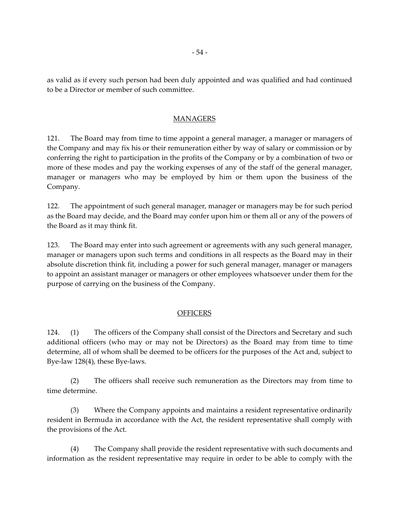as valid as if every such person had been duly appointed and was qualified and had continued to be a Director or member of such committee.

## MANAGERS

121. The Board may from time to time appoint a general manager, a manager or managers of the Company and may fix his or their remuneration either by way of salary or commission or by conferring the right to participation in the profits of the Company or by a combination of two or more of these modes and pay the working expenses of any of the staff of the general manager, manager or managers who may be employed by him or them upon the business of the Company.

122. The appointment of such general manager, manager or managers may be for such period as the Board may decide, and the Board may confer upon him or them all or any of the powers of the Board as it may think fit.

123. The Board may enter into such agreement or agreements with any such general manager, manager or managers upon such terms and conditions in all respects as the Board may in their absolute discretion think fit, including a power for such general manager, manager or managers to appoint an assistant manager or managers or other employees whatsoever under them for the purpose of carrying on the business of the Company.

# **OFFICERS**

124. (1) The officers of the Company shall consist of the Directors and Secretary and such additional officers (who may or may not be Directors) as the Board may from time to time determine, all of whom shall be deemed to be officers for the purposes of the Act and, subject to Bye-law 128(4), these Bye-laws.

(2) The officers shall receive such remuneration as the Directors may from time to time determine.

(3) Where the Company appoints and maintains a resident representative ordinarily resident in Bermuda in accordance with the Act, the resident representative shall comply with the provisions of the Act.

(4) The Company shall provide the resident representative with such documents and information as the resident representative may require in order to be able to comply with the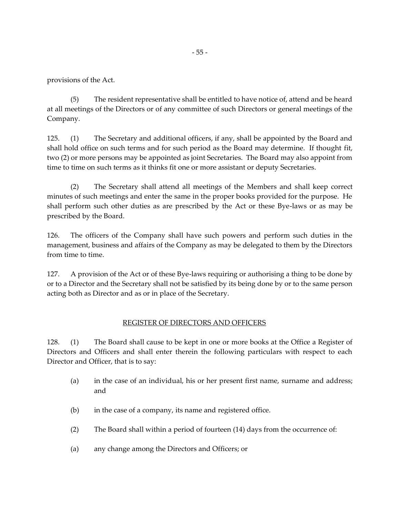provisions of the Act.

(5) The resident representative shall be entitled to have notice of, attend and be heard at all meetings of the Directors or of any committee of such Directors or general meetings of the Company.

125. (1) The Secretary and additional officers, if any, shall be appointed by the Board and shall hold office on such terms and for such period as the Board may determine. If thought fit, two (2) or more persons may be appointed as joint Secretaries. The Board may also appoint from time to time on such terms as it thinks fit one or more assistant or deputy Secretaries.

(2) The Secretary shall attend all meetings of the Members and shall keep correct minutes of such meetings and enter the same in the proper books provided for the purpose. He shall perform such other duties as are prescribed by the Act or these Bye-laws or as may be prescribed by the Board.

126. The officers of the Company shall have such powers and perform such duties in the management, business and affairs of the Company as may be delegated to them by the Directors from time to time.

127. A provision of the Act or of these Bye-laws requiring or authorising a thing to be done by or to a Director and the Secretary shall not be satisfied by its being done by or to the same person acting both as Director and as or in place of the Secretary.

# REGISTER OF DIRECTORS AND OFFICERS

128. (1) The Board shall cause to be kept in one or more books at the Office a Register of Directors and Officers and shall enter therein the following particulars with respect to each Director and Officer, that is to say:

- (a) in the case of an individual, his or her present first name, surname and address; and
- $(b)$  in the case of a company, its name and registered office.
- (2) The Board shall within a period of fourteen (14) days from the occurrence of:
- (a) any change among the Directors and Officers; or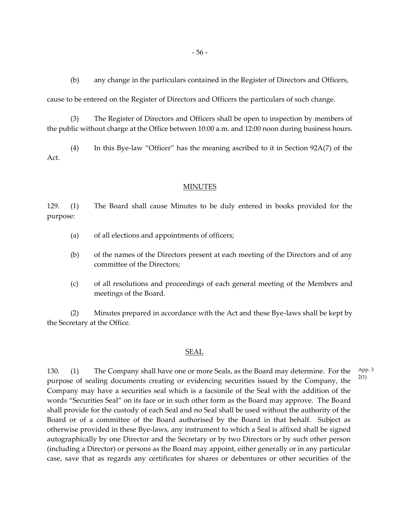(b) any change in the particulars contained in the Register of Directors and Officers,

cause to be entered on the Register of Directors and Officers the particulars of such change.

(3) The Register of Directors and Officers shall be open to inspection by members of the public without charge at the Office between 10:00 a.m. and 12:00 noon during business hours.

(4) In this Bye-law "Officer" has the meaning ascribed to it in Section 92A(7) of the Act.

## **MINUTES**

129. (1) The Board shall cause Minutes to be duly entered in books provided for the purpose:

- (a) of all elections and appointments of officers;
- (b) of the names of the Directors present at each meeting of the Directors and of any committee of the Directors;
- (c) of all resolutions and proceedings of each general meeting of the Members and meetings of the Board.

(2) Minutes prepared in accordance with the Act and these Bye-laws shall be kept by the Secretary at the Office.

## SEAL

130. (1) The Company shall have one or more Seals, as the Board may determine. For the purpose of sealing documents creating or evidencing securities issued by the Company, the Company may have a securities seal which is a facsimile of the Seal with the addition of the words "Securities Seal" on its face or in such other form as the Board may approve. The Board shall provide for the custody of each Seal and no Seal shall be used without the authority of the Board or of a committee of the Board authorised by the Board in that behalf. Subject as otherwise provided in these Bye-laws, any instrument to which a Seal is affixed shall be signed autographically by one Director and the Secretary or by two Directors or by such other person (including a Director) or persons as the Board may appoint, either generally or in any particular case, save that as regards any certificates for shares or debentures or other securities of the App. 3 2(1)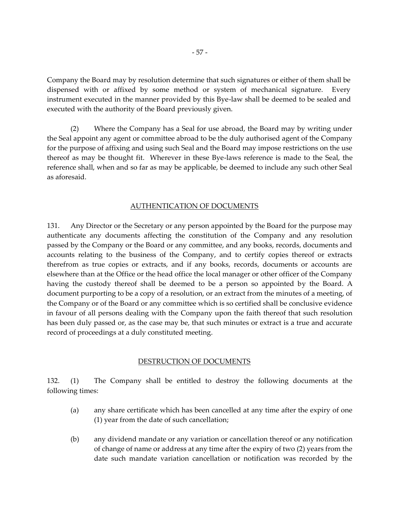Company the Board may by resolution determine that such signatures or either of them shall be dispensed with or affixed by some method or system of mechanical signature. Every instrument executed in the manner provided by this Bye-law shall be deemed to be sealed and executed with the authority of the Board previously given.

(2) Where the Company has a Seal for use abroad, the Board may by writing under the Seal appoint any agent or committee abroad to be the duly authorised agent of the Company for the purpose of affixing and using such Seal and the Board may impose restrictions on the use thereof as may be thought fit. Wherever in these Bye-laws reference is made to the Seal, the reference shall, when and so far as may be applicable, be deemed to include any such other Seal as aforesaid.

#### AUTHENTICATION OF DOCUMENTS

131. Any Director or the Secretary or any person appointed by the Board for the purpose may authenticate any documents affecting the constitution of the Company and any resolution passed by the Company or the Board or any committee, and any books, records, documents and accounts relating to the business of the Company, and to certify copies thereof or extracts therefrom as true copies or extracts, and if any books, records, documents or accounts are elsewhere than at the Office or the head office the local manager or other officer of the Company having the custody thereof shall be deemed to be a person so appointed by the Board. A document purporting to be a copy of a resolution, or an extract from the minutes of a meeting, of the Company or of the Board or any committee which is so certified shall be conclusive evidence in favour of all persons dealing with the Company upon the faith thereof that such resolution has been duly passed or, as the case may be, that such minutes or extract is a true and accurate record of proceedings at a duly constituted meeting.

#### DESTRUCTION OF DOCUMENTS

132. (1) The Company shall be entitled to destroy the following documents at the following times:

- (a) any share certificate which has been cancelled at any time after the expiry of one (1) year from the date of such cancellation;
- (b) any dividend mandate or any variation or cancellation thereof or any notification of change of name or address at any time after the expiry of two (2) years from the date such mandate variation cancellation or notification was recorded by the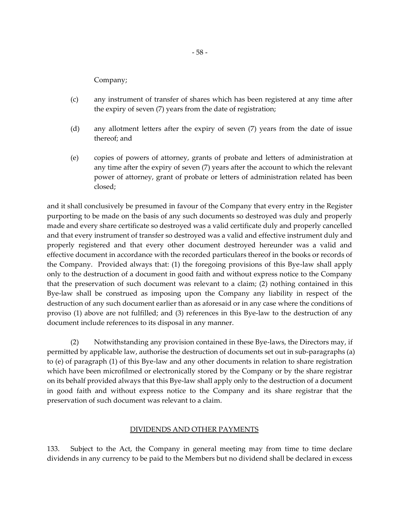Company;

- (c) any instrument of transfer of shares which has been registered at any time after the expiry of seven (7) years from the date of registration;
- (d) any allotment letters after the expiry of seven (7) years from the date of issue thereof; and
- (e) copies of powers of attorney, grants of probate and letters of administration at any time after the expiry of seven (7) years after the account to which the relevant power of attorney, grant of probate or letters of administration related has been closed;

and it shall conclusively be presumed in favour of the Company that every entry in the Register purporting to be made on the basis of any such documents so destroyed was duly and properly made and every share certificate so destroyed was a valid certificate duly and properly cancelled and that every instrument of transfer so destroyed was a valid and effective instrument duly and properly registered and that every other document destroyed hereunder was a valid and effective document in accordance with the recorded particulars thereof in the books or records of the Company. Provided always that: (1) the foregoing provisions of this Bye-law shall apply only to the destruction of a document in good faith and without express notice to the Company that the preservation of such document was relevant to a claim; (2) nothing contained in this Bye-law shall be construed as imposing upon the Company any liability in respect of the destruction of any such document earlier than as aforesaid or in any case where the conditions of proviso (1) above are not fulfilled; and (3) references in this Bye-law to the destruction of any document include references to its disposal in any manner.

(2) Notwithstanding any provision contained in these Bye-laws, the Directors may, if permitted by applicable law, authorise the destruction of documents set out in sub-paragraphs (a) to (e) of paragraph (1) of this Bye-law and any other documents in relation to share registration which have been microfilmed or electronically stored by the Company or by the share registrar on its behalf provided always that this Bye-law shall apply only to the destruction of a document in good faith and without express notice to the Company and its share registrar that the preservation of such document was relevant to a claim.

## DIVIDENDS AND OTHER PAYMENTS

133. Subject to the Act, the Company in general meeting may from time to time declare dividends in any currency to be paid to the Members but no dividend shall be declared in excess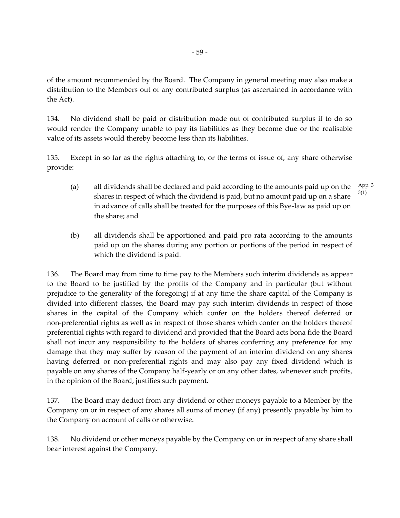of the amount recommended by the Board. The Company in general meeting may also make a distribution to the Members out of any contributed surplus (as ascertained in accordance with the Act).

134. No dividend shall be paid or distribution made out of contributed surplus if to do so would render the Company unable to pay its liabilities as they become due or the realisable value of its assets would thereby become less than its liabilities.

135. Except in so far as the rights attaching to, or the terms of issue of, any share otherwise provide:

- (a) all dividends shall be declared and paid according to the amounts paid up on the shares in respect of which the dividend is paid, but no amount paid up on a share in advance of calls shall be treated for the purposes of this Bye-law as paid up on the share; and App. 3 3(1)
- (b) all dividends shall be apportioned and paid pro rata according to the amounts paid up on the shares during any portion or portions of the period in respect of which the dividend is paid.

136. The Board may from time to time pay to the Members such interim dividends as appear to the Board to be justified by the profits of the Company and in particular (but without prejudice to the generality of the foregoing) if at any time the share capital of the Company is divided into different classes, the Board may pay such interim dividends in respect of those shares in the capital of the Company which confer on the holders thereof deferred or non-preferential rights as well as in respect of those shares which confer on the holders thereof preferential rights with regard to dividend and provided that the Board acts bona fide the Board shall not incur any responsibility to the holders of shares conferring any preference for any damage that they may suffer by reason of the payment of an interim dividend on any shares having deferred or non-preferential rights and may also pay any fixed dividend which is payable on any shares of the Company half-yearly or on any other dates, whenever such profits, in the opinion of the Board, justifies such payment.

137. The Board may deduct from any dividend or other moneys payable to a Member by the Company on or in respect of any shares all sums of money (if any) presently payable by him to the Company on account of calls or otherwise.

138. No dividend or other moneys payable by the Company on or in respect of any share shall bear interest against the Company.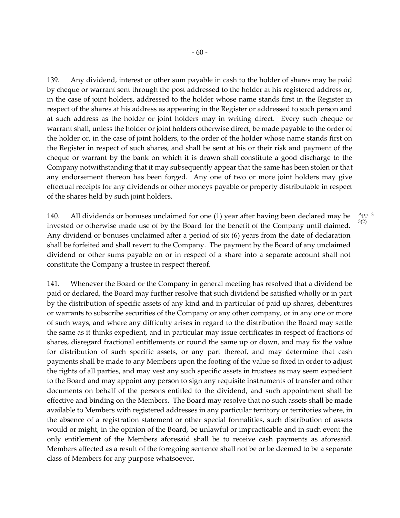139. Any dividend, interest or other sum payable in cash to the holder of shares may be paid by cheque or warrant sent through the post addressed to the holder at his registered address or, in the case of joint holders, addressed to the holder whose name stands first in the Register in respect of the shares at his address as appearing in the Register or addressed to such person and at such address as the holder or joint holders may in writing direct. Every such cheque or warrant shall, unless the holder or joint holders otherwise direct, be made payable to the order of the holder or, in the case of joint holders, to the order of the holder whose name stands first on the Register in respect of such shares, and shall be sent at his or their risk and payment of the cheque or warrant by the bank on which it is drawn shall constitute a good discharge to the Company notwithstanding that it may subsequently appear that the same has been stolen or that any endorsement thereon has been forged. Any one of two or more joint holders may give effectual receipts for any dividends or other moneys payable or property distributable in respect of the shares held by such joint holders.

140. All dividends or bonuses unclaimed for one (1) year after having been declared may be invested or otherwise made use of by the Board for the benefit of the Company until claimed. Any dividend or bonuses unclaimed after a period of six (6) years from the date of declaration shall be forfeited and shall revert to the Company. The payment by the Board of any unclaimed dividend or other sums payable on or in respect of a share into a separate account shall not constitute the Company a trustee in respect thereof. App. 3 3(2)

141. Whenever the Board or the Company in general meeting has resolved that a dividend be paid or declared, the Board may further resolve that such dividend be satisfied wholly or in part by the distribution of specific assets of any kind and in particular of paid up shares, debentures or warrants to subscribe securities of the Company or any other company, or in any one or more of such ways, and where any difficulty arises in regard to the distribution the Board may settle the same as it thinks expedient, and in particular may issue certificates in respect of fractions of shares, disregard fractional entitlements or round the same up or down, and may fix the value for distribution of such specific assets, or any part thereof, and may determine that cash payments shall be made to any Members upon the footing of the value so fixed in order to adjust the rights of all parties, and may vest any such specific assets in trustees as may seem expedient to the Board and may appoint any person to sign any requisite instruments of transfer and other documents on behalf of the persons entitled to the dividend, and such appointment shall be effective and binding on the Members. The Board may resolve that no such assets shall be made available to Members with registered addresses in any particular territory or territories where, in the absence of a registration statement or other special formalities, such distribution of assets would or might, in the opinion of the Board, be unlawful or impracticable and in such event the only entitlement of the Members aforesaid shall be to receive cash payments as aforesaid. Members affected as a result of the foregoing sentence shall not be or be deemed to be a separate class of Members for any purpose whatsoever.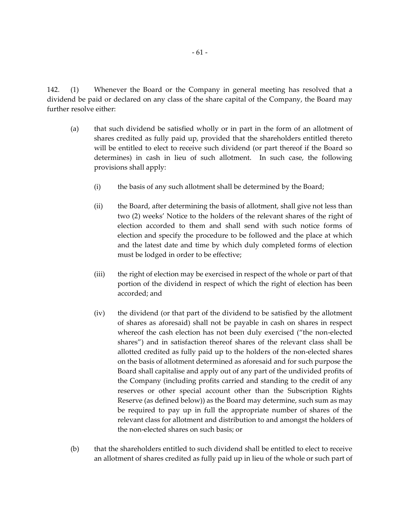142. (1) Whenever the Board or the Company in general meeting has resolved that a dividend be paid or declared on any class of the share capital of the Company, the Board may further resolve either:

- (a) that such dividend be satisfied wholly or in part in the form of an allotment of shares credited as fully paid up, provided that the shareholders entitled thereto will be entitled to elect to receive such dividend (or part thereof if the Board so determines) in cash in lieu of such allotment. In such case, the following provisions shall apply:
	- (i) the basis of any such allotment shall be determined by the Board;
	- (ii) the Board, after determining the basis of allotment, shall give not less than two (2) weeks' Notice to the holders of the relevant shares of the right of election accorded to them and shall send with such notice forms of election and specify the procedure to be followed and the place at which and the latest date and time by which duly completed forms of election must be lodged in order to be effective;
	- (iii) the right of election may be exercised in respect of the whole or part of that portion of the dividend in respect of which the right of election has been accorded; and
	- (iv) the dividend (or that part of the dividend to be satisfied by the allotment of shares as aforesaid) shall not be payable in cash on shares in respect whereof the cash election has not been duly exercised ("the non-elected shares") and in satisfaction thereof shares of the relevant class shall be allotted credited as fully paid up to the holders of the non-elected shares on the basis of allotment determined as aforesaid and for such purpose the Board shall capitalise and apply out of any part of the undivided profits of the Company (including profits carried and standing to the credit of any reserves or other special account other than the Subscription Rights Reserve (as defined below)) as the Board may determine, such sum as may be required to pay up in full the appropriate number of shares of the relevant class for allotment and distribution to and amongst the holders of the non-elected shares on such basis; or
- (b) that the shareholders entitled to such dividend shall be entitled to elect to receive an allotment of shares credited as fully paid up in lieu of the whole or such part of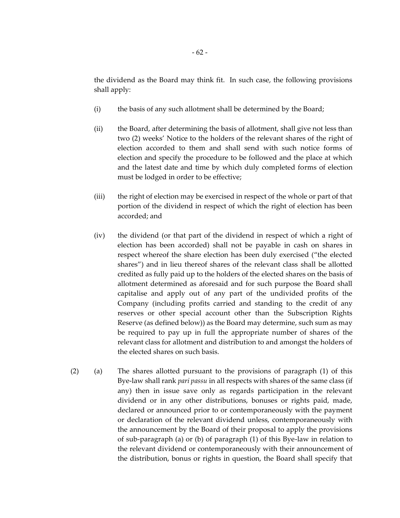the dividend as the Board may think fit. In such case, the following provisions shall apply:

- (i) the basis of any such allotment shall be determined by the Board;
- (ii) the Board, after determining the basis of allotment, shall give not less than two (2) weeks' Notice to the holders of the relevant shares of the right of election accorded to them and shall send with such notice forms of election and specify the procedure to be followed and the place at which and the latest date and time by which duly completed forms of election must be lodged in order to be effective;
- (iii) the right of election may be exercised in respect of the whole or part of that portion of the dividend in respect of which the right of election has been accorded; and
- (iv) the dividend (or that part of the dividend in respect of which a right of election has been accorded) shall not be payable in cash on shares in respect whereof the share election has been duly exercised ("the elected shares") and in lieu thereof shares of the relevant class shall be allotted credited as fully paid up to the holders of the elected shares on the basis of allotment determined as aforesaid and for such purpose the Board shall capitalise and apply out of any part of the undivided profits of the Company (including profits carried and standing to the credit of any reserves or other special account other than the Subscription Rights Reserve (as defined below)) as the Board may determine, such sum as may be required to pay up in full the appropriate number of shares of the relevant class for allotment and distribution to and amongst the holders of the elected shares on such basis.
- (2) (a) The shares allotted pursuant to the provisions of paragraph (1) of this Bye-law shall rank *pari passu* in all respects with shares of the same class (if any) then in issue save only as regards participation in the relevant dividend or in any other distributions, bonuses or rights paid, made, declared or announced prior to or contemporaneously with the payment or declaration of the relevant dividend unless, contemporaneously with the announcement by the Board of their proposal to apply the provisions of sub-paragraph (a) or (b) of paragraph (1) of this Bye-law in relation to the relevant dividend or contemporaneously with their announcement of the distribution, bonus or rights in question, the Board shall specify that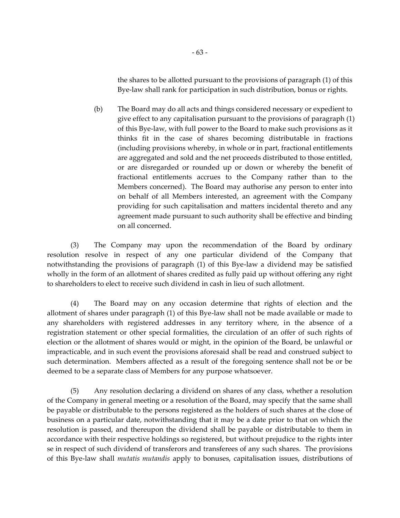the shares to be allotted pursuant to the provisions of paragraph (1) of this Bye-law shall rank for participation in such distribution, bonus or rights.

(b) The Board may do all acts and things considered necessary or expedient to give effect to any capitalisation pursuant to the provisions of paragraph (1) of this Bye-law, with full power to the Board to make such provisions as it thinks fit in the case of shares becoming distributable in fractions (including provisions whereby, in whole or in part, fractional entitlements are aggregated and sold and the net proceeds distributed to those entitled, or are disregarded or rounded up or down or whereby the benefit of fractional entitlements accrues to the Company rather than to the Members concerned). The Board may authorise any person to enter into on behalf of all Members interested, an agreement with the Company providing for such capitalisation and matters incidental thereto and any agreement made pursuant to such authority shall be effective and binding on all concerned.

(3) The Company may upon the recommendation of the Board by ordinary resolution resolve in respect of any one particular dividend of the Company that notwithstanding the provisions of paragraph (1) of this Bye-law a dividend may be satisfied wholly in the form of an allotment of shares credited as fully paid up without offering any right to shareholders to elect to receive such dividend in cash in lieu of such allotment.

(4) The Board may on any occasion determine that rights of election and the allotment of shares under paragraph (1) of this Bye-law shall not be made available or made to any shareholders with registered addresses in any territory where, in the absence of a registration statement or other special formalities, the circulation of an offer of such rights of election or the allotment of shares would or might, in the opinion of the Board, be unlawful or impracticable, and in such event the provisions aforesaid shall be read and construed subject to such determination. Members affected as a result of the foregoing sentence shall not be or be deemed to be a separate class of Members for any purpose whatsoever.

(5) Any resolution declaring a dividend on shares of any class, whether a resolution of the Company in general meeting or a resolution of the Board, may specify that the same shall be payable or distributable to the persons registered as the holders of such shares at the close of business on a particular date, notwithstanding that it may be a date prior to that on which the resolution is passed, and thereupon the dividend shall be payable or distributable to them in accordance with their respective holdings so registered, but without prejudice to the rights inter se in respect of such dividend of transferors and transferees of any such shares. The provisions of this Bye-law shall *mutatis mutandis* apply to bonuses, capitalisation issues, distributions of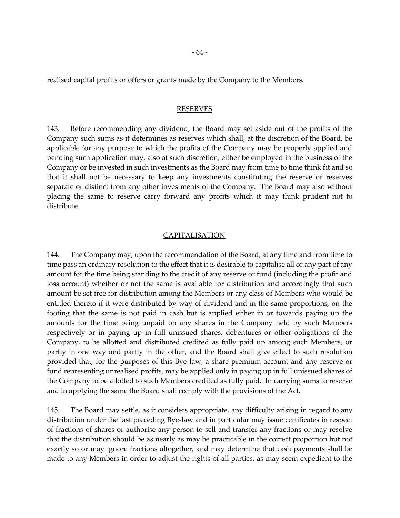realised capital profits or offers or grants made by the Company to the Members.

#### RESERVES

143. Before recommending any dividend, the Board may set aside out of the profits of the Company such sums as it determines as reserves which shall, at the discretion of the Board, be applicable for any purpose to which the profits of the Company may be properly applied and pending such application may, also at such discretion, either be employed in the business of the Company or be invested in such investments as the Board may from time to time think fit and so that it shall not be necessary to keep any investments constituting the reserve or reserves separate or distinct from any other investments of the Company. The Board may also without placing the same to reserve carry forward any profits which it may think prudent not to distribute.

#### CAPITALISATION

144. The Company may, upon the recommendation of the Board, at any time and from time to time pass an ordinary resolution to the effect that it is desirable to capitalise all or any part of any amount for the time being standing to the credit of any reserve or fund (including the profit and loss account) whether or not the same is available for distribution and accordingly that such amount be set free for distribution among the Members or any class of Members who would be entitled thereto if it were distributed by way of dividend and in the same proportions, on the footing that the same is not paid in cash but is applied either in or towards paying up the amounts for the time being unpaid on any shares in the Company held by such Members respectively or in paying up in full unissued shares, debentures or other obligations of the Company, to be allotted and distributed credited as fully paid up among such Members, or partly in one way and partly in the other, and the Board shall give effect to such resolution provided that, for the purposes of this Bye-law, a share premium account and any reserve or fund representing unrealised profits, may be applied only in paying up in full unissued shares of the Company to be allotted to such Members credited as fully paid. In carrying sums to reserve and in applying the same the Board shall comply with the provisions of the Act.

145. The Board may settle, as it considers appropriate, any difficulty arising in regard to any distribution under the last preceding Bye-law and in particular may issue certificates in respect of fractions of shares or authorise any person to sell and transfer any fractions or may resolve that the distribution should be as nearly as may be practicable in the correct proportion but not exactly so or may ignore fractions altogether, and may determine that cash payments shall be made to any Members in order to adjust the rights of all parties, as may seem expedient to the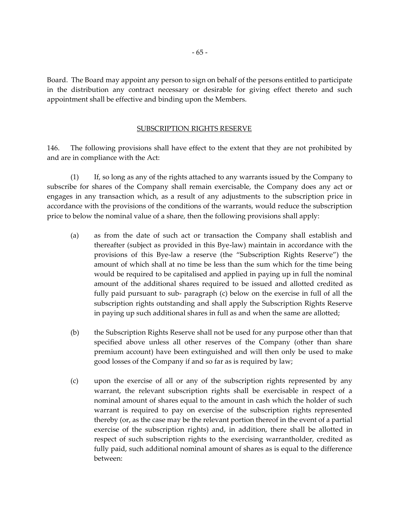Board. The Board may appoint any person to sign on behalf of the persons entitled to participate in the distribution any contract necessary or desirable for giving effect thereto and such appointment shall be effective and binding upon the Members.

### SUBSCRIPTION RIGHTS RESERVE

146. The following provisions shall have effect to the extent that they are not prohibited by and are in compliance with the Act:

(1) If, so long as any of the rights attached to any warrants issued by the Company to subscribe for shares of the Company shall remain exercisable, the Company does any act or engages in any transaction which, as a result of any adjustments to the subscription price in accordance with the provisions of the conditions of the warrants, would reduce the subscription price to below the nominal value of a share, then the following provisions shall apply:

- (a) as from the date of such act or transaction the Company shall establish and thereafter (subject as provided in this Bye-law) maintain in accordance with the provisions of this Bye-law a reserve (the "Subscription Rights Reserve") the amount of which shall at no time be less than the sum which for the time being would be required to be capitalised and applied in paying up in full the nominal amount of the additional shares required to be issued and allotted credited as fully paid pursuant to sub- paragraph (c) below on the exercise in full of all the subscription rights outstanding and shall apply the Subscription Rights Reserve in paying up such additional shares in full as and when the same are allotted;
- (b) the Subscription Rights Reserve shall not be used for any purpose other than that specified above unless all other reserves of the Company (other than share premium account) have been extinguished and will then only be used to make good losses of the Company if and so far as is required by law;
- (c) upon the exercise of all or any of the subscription rights represented by any warrant, the relevant subscription rights shall be exercisable in respect of a nominal amount of shares equal to the amount in cash which the holder of such warrant is required to pay on exercise of the subscription rights represented thereby (or, as the case may be the relevant portion thereof in the event of a partial exercise of the subscription rights) and, in addition, there shall be allotted in respect of such subscription rights to the exercising warrantholder, credited as fully paid, such additional nominal amount of shares as is equal to the difference between: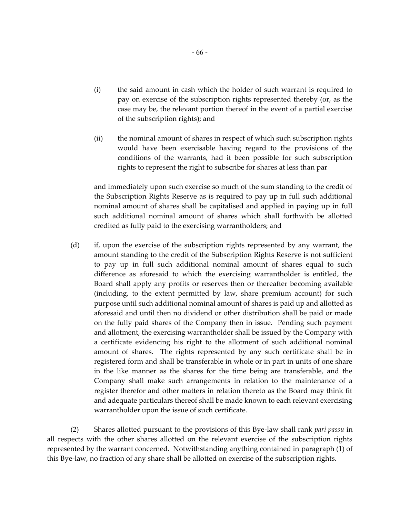- (i) the said amount in cash which the holder of such warrant is required to pay on exercise of the subscription rights represented thereby (or, as the case may be, the relevant portion thereof in the event of a partial exercise of the subscription rights); and
- (ii) the nominal amount of shares in respect of which such subscription rights would have been exercisable having regard to the provisions of the conditions of the warrants, had it been possible for such subscription rights to represent the right to subscribe for shares at less than par

and immediately upon such exercise so much of the sum standing to the credit of the Subscription Rights Reserve as is required to pay up in full such additional nominal amount of shares shall be capitalised and applied in paying up in full such additional nominal amount of shares which shall forthwith be allotted credited as fully paid to the exercising warrantholders; and

(d) if, upon the exercise of the subscription rights represented by any warrant, the amount standing to the credit of the Subscription Rights Reserve is not sufficient to pay up in full such additional nominal amount of shares equal to such difference as aforesaid to which the exercising warrantholder is entitled, the Board shall apply any profits or reserves then or thereafter becoming available (including, to the extent permitted by law, share premium account) for such purpose until such additional nominal amount of shares is paid up and allotted as aforesaid and until then no dividend or other distribution shall be paid or made on the fully paid shares of the Company then in issue. Pending such payment and allotment, the exercising warrantholder shall be issued by the Company with a certificate evidencing his right to the allotment of such additional nominal amount of shares. The rights represented by any such certificate shall be in registered form and shall be transferable in whole or in part in units of one share in the like manner as the shares for the time being are transferable, and the Company shall make such arrangements in relation to the maintenance of a register therefor and other matters in relation thereto as the Board may think fit and adequate particulars thereof shall be made known to each relevant exercising warrantholder upon the issue of such certificate.

(2) Shares allotted pursuant to the provisions of this Bye-law shall rank *pari passu* in all respects with the other shares allotted on the relevant exercise of the subscription rights represented by the warrant concerned. Notwithstanding anything contained in paragraph (1) of this Bye-law, no fraction of any share shall be allotted on exercise of the subscription rights.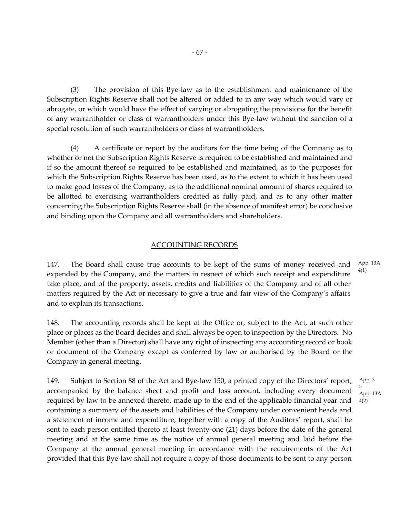(3) The provision of this Bye-law as to the establishment and maintenance of the Subscription Rights Reserve shall not be altered or added to in any way which would vary or abrogate, or which would have the effect of varying or abrogating the provisions for the benefit of any warrantholder or class of warrantholders under this Bye-law without the sanction of a special resolution of such warrantholders or class of warrantholders.

(4) A certificate or report by the auditors for the time being of the Company as to whether or not the Subscription Rights Reserve is required to be established and maintained and if so the amount thereof so required to be established and maintained, as to the purposes for which the Subscription Rights Reserve has been used, as to the extent to which it has been used to make good losses of the Company, as to the additional nominal amount of shares required to be allotted to exercising warrantholders credited as fully paid, and as to any other matter concerning the Subscription Rights Reserve shall (in the absence of manifest error) be conclusive and binding upon the Company and all warrantholders and shareholders.

# ACCOUNTING RECORDS

147. The Board shall cause true accounts to be kept of the sums of money received and expended by the Company, and the matters in respect of which such receipt and expenditure take place, and of the property, assets, credits and liabilities of the Company and of all other matters required by the Act or necessary to give a true and fair view of the Company's affairs and to explain its transactions. App. 13A 4(1)

148. The accounting records shall be kept at the Office or, subject to the Act, at such other place or places as the Board decides and shall always be open to inspection by the Directors. No Member (other than a Director) shall have any right of inspecting any accounting record or book or document of the Company except as conferred by law or authorised by the Board or the Company in general meeting.

149. Subject to Section 88 of the Act and Bye-law 150, a printed copy of the Directors' report, accompanied by the balance sheet and profit and loss account, including every document required by law to be annexed thereto, made up to the end of the applicable financial year and containing a summary of the assets and liabilities of the Company under convenient heads and a statement of income and expenditure, together with a copy of the Auditors' report, shall be sent to each person entitled thereto at least twenty-one (21) days before the date of the general meeting and at the same time as the notice of annual general meeting and laid before the Company at the annual general meeting in accordance with the requirements of the Act provided that this Bye-law shall not require a copy of those documents to be sent to any person 5 4(2)

App. 3 App. 13A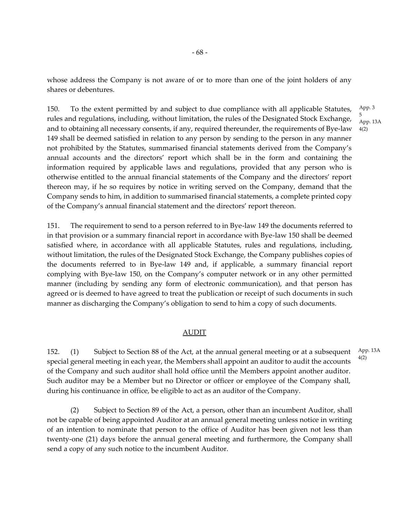whose address the Company is not aware of or to more than one of the joint holders of any shares or debentures.

150. To the extent permitted by and subject to due compliance with all applicable Statutes, rules and regulations, including, without limitation, the rules of the Designated Stock Exchange, and to obtaining all necessary consents, if any, required thereunder, the requirements of Bye-law 149 shall be deemed satisfied in relation to any person by sending to the person in any manner not prohibited by the Statutes, summarised financial statements derived from the Company's annual accounts and the directors' report which shall be in the form and containing the information required by applicable laws and regulations, provided that any person who is otherwise entitled to the annual financial statements of the Company and the directors' report thereon may, if he so requires by notice in writing served on the Company, demand that the Company sends to him, in addition to summarised financial statements, a complete printed copy of the Company's annual financial statement and the directors' report thereon.

151. The requirement to send to a person referred to in Bye-law 149 the documents referred to in that provision or a summary financial report in accordance with Bye-law 150 shall be deemed satisfied where, in accordance with all applicable Statutes, rules and regulations, including, without limitation, the rules of the Designated Stock Exchange, the Company publishes copies of the documents referred to in Bye-law 149 and, if applicable, a summary financial report complying with Bye-law 150, on the Company's computer network or in any other permitted manner (including by sending any form of electronic communication), and that person has agreed or is deemed to have agreed to treat the publication or receipt of such documents in such manner as discharging the Company's obligation to send to him a copy of such documents.

## AUDIT

152. (1) Subject to Section 88 of the Act, at the annual general meeting or at a subsequent special general meeting in each year, the Members shall appoint an auditor to audit the accounts of the Company and such auditor shall hold office until the Members appoint another auditor. Such auditor may be a Member but no Director or officer or employee of the Company shall, during his continuance in office, be eligible to act as an auditor of the Company. App. 13A 4(2)

(2) Subject to Section 89 of the Act, a person, other than an incumbent Auditor, shall not be capable of being appointed Auditor at an annual general meeting unless notice in writing of an intention to nominate that person to the office of Auditor has been given not less than twenty-one (21) days before the annual general meeting and furthermore, the Company shall send a copy of any such notice to the incumbent Auditor.

App. 3 5 App. 13A 4(2)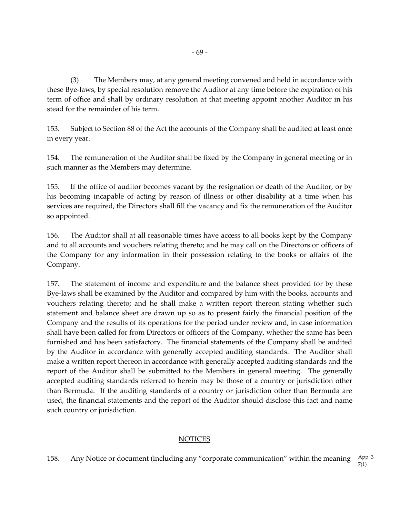(3) The Members may, at any general meeting convened and held in accordance with these Bye-laws, by special resolution remove the Auditor at any time before the expiration of his term of office and shall by ordinary resolution at that meeting appoint another Auditor in his stead for the remainder of his term.

153. Subject to Section 88 of the Act the accounts of the Company shall be audited at least once in every year.

154. The remuneration of the Auditor shall be fixed by the Company in general meeting or in such manner as the Members may determine.

155. If the office of auditor becomes vacant by the resignation or death of the Auditor, or by his becoming incapable of acting by reason of illness or other disability at a time when his services are required, the Directors shall fill the vacancy and fix the remuneration of the Auditor so appointed.

156. The Auditor shall at all reasonable times have access to all books kept by the Company and to all accounts and vouchers relating thereto; and he may call on the Directors or officers of the Company for any information in their possession relating to the books or affairs of the Company.

157. The statement of income and expenditure and the balance sheet provided for by these Bye-laws shall be examined by the Auditor and compared by him with the books, accounts and vouchers relating thereto; and he shall make a written report thereon stating whether such statement and balance sheet are drawn up so as to present fairly the financial position of the Company and the results of its operations for the period under review and, in case information shall have been called for from Directors or officers of the Company, whether the same has been furnished and has been satisfactory. The financial statements of the Company shall be audited by the Auditor in accordance with generally accepted auditing standards. The Auditor shall make a written report thereon in accordance with generally accepted auditing standards and the report of the Auditor shall be submitted to the Members in general meeting. The generally accepted auditing standards referred to herein may be those of a country or jurisdiction other than Bermuda. If the auditing standards of a country or jurisdiction other than Bermuda are used, the financial statements and the report of the Auditor should disclose this fact and name such country or jurisdiction.

# **NOTICES**

158. Any Notice or document (including any "corporate communication" within the meaning App. 3 7(1)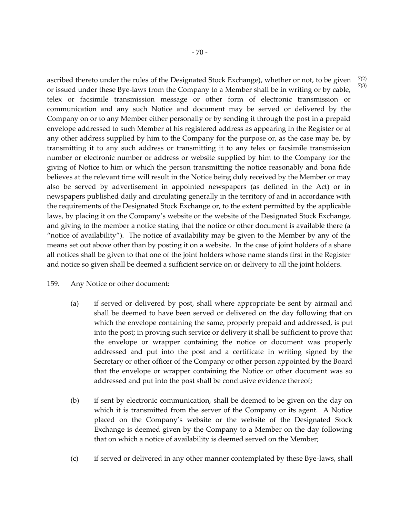7(2) 7(3)

ascribed thereto under the rules of the Designated Stock Exchange), whether or not, to be given or issued under these Bye-laws from the Company to a Member shall be in writing or by cable, telex or facsimile transmission message or other form of electronic transmission or communication and any such Notice and document may be served or delivered by the Company on or to any Member either personally or by sending it through the post in a prepaid envelope addressed to such Member at his registered address as appearing in the Register or at any other address supplied by him to the Company for the purpose or, as the case may be, by transmitting it to any such address or transmitting it to any telex or facsimile transmission number or electronic number or address or website supplied by him to the Company for the giving of Notice to him or which the person transmitting the notice reasonably and bona fide believes at the relevant time will result in the Notice being duly received by the Member or may also be served by advertisement in appointed newspapers (as defined in the Act) or in newspapers published daily and circulating generally in the territory of and in accordance with the requirements of the Designated Stock Exchange or, to the extent permitted by the applicable laws, by placing it on the Company's website or the website of the Designated Stock Exchange, and giving to the member a notice stating that the notice or other document is available there (a "notice of availability"). The notice of availability may be given to the Member by any of the means set out above other than by posting it on a website. In the case of joint holders of a share all notices shall be given to that one of the joint holders whose name stands first in the Register and notice so given shall be deemed a sufficient service on or delivery to all the joint holders.

## 159. Any Notice or other document:

- (a) if served or delivered by post, shall where appropriate be sent by airmail and shall be deemed to have been served or delivered on the day following that on which the envelope containing the same, properly prepaid and addressed, is put into the post; in proving such service or delivery it shall be sufficient to prove that the envelope or wrapper containing the notice or document was properly addressed and put into the post and a certificate in writing signed by the Secretary or other officer of the Company or other person appointed by the Board that the envelope or wrapper containing the Notice or other document was so addressed and put into the post shall be conclusive evidence thereof;
- (b) if sent by electronic communication, shall be deemed to be given on the day on which it is transmitted from the server of the Company or its agent. A Notice placed on the Company's website or the website of the Designated Stock Exchange is deemed given by the Company to a Member on the day following that on which a notice of availability is deemed served on the Member;
- (c) if served or delivered in any other manner contemplated by these Bye-laws, shall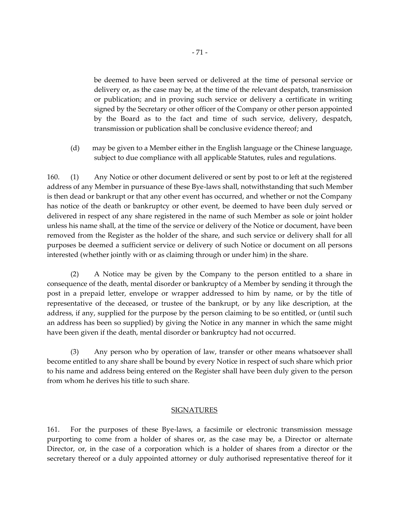be deemed to have been served or delivered at the time of personal service or delivery or, as the case may be, at the time of the relevant despatch, transmission or publication; and in proving such service or delivery a certificate in writing signed by the Secretary or other officer of the Company or other person appointed by the Board as to the fact and time of such service, delivery, despatch, transmission or publication shall be conclusive evidence thereof; and

(d) may be given to a Member either in the English language or the Chinese language, subject to due compliance with all applicable Statutes, rules and regulations.

160. (1) Any Notice or other document delivered or sent by post to or left at the registered address of any Member in pursuance of these Bye-laws shall, notwithstanding that such Member is then dead or bankrupt or that any other event has occurred, and whether or not the Company has notice of the death or bankruptcy or other event, be deemed to have been duly served or delivered in respect of any share registered in the name of such Member as sole or joint holder unless his name shall, at the time of the service or delivery of the Notice or document, have been removed from the Register as the holder of the share, and such service or delivery shall for all purposes be deemed a sufficient service or delivery of such Notice or document on all persons interested (whether jointly with or as claiming through or under him) in the share.

(2) A Notice may be given by the Company to the person entitled to a share in consequence of the death, mental disorder or bankruptcy of a Member by sending it through the post in a prepaid letter, envelope or wrapper addressed to him by name, or by the title of representative of the deceased, or trustee of the bankrupt, or by any like description, at the address, if any, supplied for the purpose by the person claiming to be so entitled, or (until such an address has been so supplied) by giving the Notice in any manner in which the same might have been given if the death, mental disorder or bankruptcy had not occurred.

(3) Any person who by operation of law, transfer or other means whatsoever shall become entitled to any share shall be bound by every Notice in respect of such share which prior to his name and address being entered on the Register shall have been duly given to the person from whom he derives his title to such share.

#### **SIGNATURES**

161. For the purposes of these Bye-laws, a facsimile or electronic transmission message purporting to come from a holder of shares or, as the case may be, a Director or alternate Director, or, in the case of a corporation which is a holder of shares from a director or the secretary thereof or a duly appointed attorney or duly authorised representative thereof for it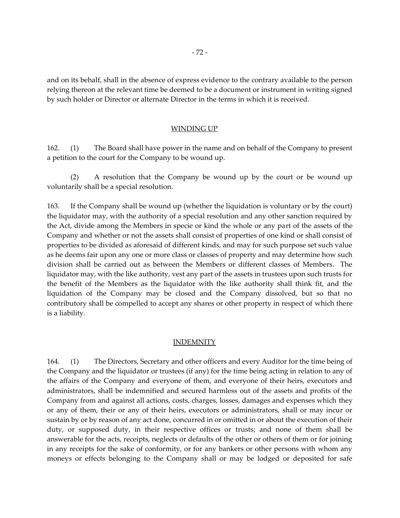and on its behalf, shall in the absence of express evidence to the contrary available to the person relying thereon at the relevant time be deemed to be a document or instrument in writing signed by such holder or Director or alternate Director in the terms in which it is received.

#### WINDING UP

162. (1) The Board shall have power in the name and on behalf of the Company to present a petition to the court for the Company to be wound up.

(2) A resolution that the Company be wound up by the court or be wound up voluntarily shall be a special resolution.

163. If the Company shall be wound up (whether the liquidation is voluntary or by the court) the liquidator may, with the authority of a special resolution and any other sanction required by the Act, divide among the Members in specie or kind the whole or any part of the assets of the Company and whether or not the assets shall consist of properties of one kind or shall consist of properties to be divided as aforesaid of different kinds, and may for such purpose set such value as he deems fair upon any one or more class or classes of property and may determine how such division shall be carried out as between the Members or different classes of Members. The liquidator may, with the like authority, vest any part of the assets in trustees upon such trusts for the benefit of the Members as the liquidator with the like authority shall think fit, and the liquidation of the Company may be closed and the Company dissolved, but so that no contributory shall be compelled to accept any shares or other property in respect of which there is a liability.

### INDEMNITY

164. (1) The Directors, Secretary and other officers and every Auditor for the time being of the Company and the liquidator or trustees (if any) for the time being acting in relation to any of the affairs of the Company and everyone of them, and everyone of their heirs, executors and administrators, shall be indemnified and secured harmless out of the assets and profits of the Company from and against all actions, costs, charges, losses, damages and expenses which they or any of them, their or any of their heirs, executors or administrators, shall or may incur or sustain by or by reason of any act done, concurred in or omitted in or about the execution of their duty, or supposed duty, in their respective offices or trusts; and none of them shall be answerable for the acts, receipts, neglects or defaults of the other or others of them or for joining in any receipts for the sake of conformity, or for any bankers or other persons with whom any moneys or effects belonging to the Company shall or may be lodged or deposited for safe